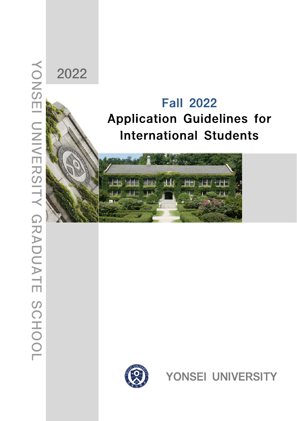2022

# Fall 2022 Application Guidelines for International Students





YONSEI UNIVERSITY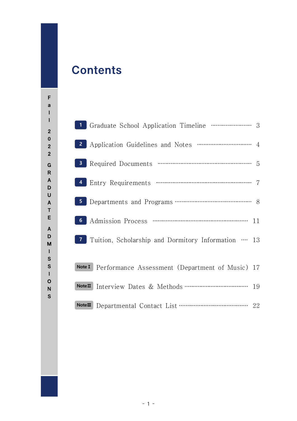## Contents

F

a l l

 G R A D U A T E

 A D M I S S I O N S

| $\overline{2}$                                            |  |
|-----------------------------------------------------------|--|
| 3                                                         |  |
| 4                                                         |  |
| 5                                                         |  |
| 6                                                         |  |
| Tuition, Scholarship and Dormitory Information  13        |  |
| Note I<br>Performance Assessment (Department of Music) 17 |  |
| Note II                                                   |  |
| $Note \mathbf{m}$                                         |  |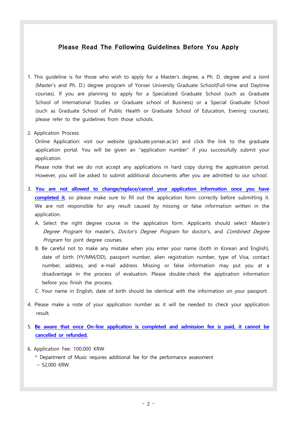#### Please Read The Following Guidelines Before You Apply

1. This guideline is for those who wish to apply for a Master's degree, a Ph. D. degree and a Joint (Master's and Ph. D.) degree program of Yonsei University Graduate School(Full-time and Daytime courses). If you are planning to apply for a Specialized Graduate School (such as Graduate School of International Studies or Graduate school of Business) or a Special Graduate School (such as Graduate School of Public Health or Graduate School of Education, Evening courses), please refer to the guidelines from those schools.

#### 2. Application Process

 Online Application: visit our website (graduate.yonsei.ac.kr) and click the link to the graduate application portal. You will be given an "application number" if you successfully submit your application.

 Please note that we do not accept any applications in hard copy during the application period. However, you will be asked to submit additional documents after you are admitted to our school.

- 3. **You are not allowed to change/replace/cancel your application information once you have completed it**, so please make sure to fill out the application form correctly before submitting it. We are not responsible for any result caused by missing or false information written in the application.
	- A. Select the right degree course in the application form. Applicants should select Master's Degree Program for master's, Doctor's Degree Program for doctor's, and Combined Degree Program for joint degree courses.
	- B. Be careful not to make any mistake when you enter your name (both in Korean and English), date of birth (YY/MM/DD), passport number, alien registration number, type of Visa, contact number, address, and e-mail address. Missing or false information may put you at a disadvantage in the process of evaluation. Please double-check the application information before you finish the process.
	- C. Your name in English, date of birth should be identical with the information on your passport.
- 4. Please make a note of your application number as it will be needed to check your application result.
- 5. **Be aware that once On-line application is completed and admission fee is paid, it cannot be cancelled or refunded.**
- 6. Application Fee: 100,000 KRW
	- \* Department of Music requires additional fee for the performance assessment – 52,000 KRW.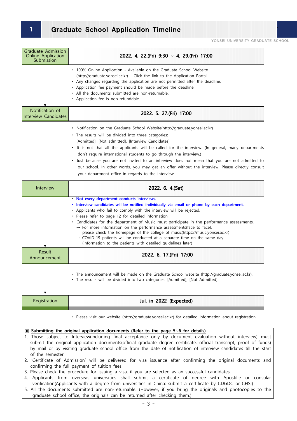### **1** Graduate School Application Timeline `

YONSEI UNIVERSITY GRADUATE SCHOOL

| Graduate Admission<br>Online Application<br>Submission | 2022. 4. 22. (Fri) 9:30 ~ 4. 29. (Fri) 17:00                                                                                                                                                                                                                                                                                                                                                                                                                                                                                                                                                                                                                                                                |
|--------------------------------------------------------|-------------------------------------------------------------------------------------------------------------------------------------------------------------------------------------------------------------------------------------------------------------------------------------------------------------------------------------------------------------------------------------------------------------------------------------------------------------------------------------------------------------------------------------------------------------------------------------------------------------------------------------------------------------------------------------------------------------|
|                                                        | • 100% Online Application - Available on the Graduate School Website<br>(http://graduate.yonsei.ac.kr) - Click the link to the Application Portal<br>Any changes regarding the application are not permitted after the deadline.<br>Application fee payment should be made before the deadline.<br>All the documents submitted are non-returnable.<br>Application fee is non-refundable.                                                                                                                                                                                                                                                                                                                    |
| Notification of<br><b>Interview Candidates</b>         | 2022. 5. 27.(Fri) 17:00                                                                                                                                                                                                                                                                                                                                                                                                                                                                                                                                                                                                                                                                                     |
|                                                        | Notification on the Graduate School Website(http://graduate.yonsei.ac.kr)<br>The results will be divided into three categories:<br>[Admitted], [Not admitted], [Interview Candidates]<br>It is not that all the applicants will be called for the interview. (In general, many departments<br>don't require international students to go through the interview.)<br>► Just because you are not invited to an interview does not mean that you are not admitted to<br>our school. In other words, you may get an offer without the interview. Please directly consult<br>your department office in regards to the interview.                                                                                 |
| Interview                                              | 2022. 6. 4. (Sat)                                                                                                                                                                                                                                                                                                                                                                                                                                                                                                                                                                                                                                                                                           |
|                                                        | Not every department conducts interviews.<br>٠<br>Interview candidates will be notified individually via email or phone by each department.<br>×.<br>Applicants who fail to comply with the interview will be rejected.<br>▶<br>Please refer to page 12 for detailed information.<br>Candidates for the department of Music must participate in the performance assessments.<br>$\rightarrow$ For more information on the performance assessments (face to face),<br>please check the homepage of the college of music(https://music.yonsei.ac.kr)<br>$\rightarrow$ COVID-19 patients will be conducted at a separate time on the same day.<br>(Information to the patients with detailed guidelines later) |
| Result<br>Announcement                                 | 2022. 6. 17.(Fri) 17:00                                                                                                                                                                                                                                                                                                                                                                                                                                                                                                                                                                                                                                                                                     |
| ▼                                                      | The announcement will be made on the Graduate School website (http://graduate.yonsei.ac.kr).<br>The results will be divided into two categories: [Admitted], [Not Admitted]                                                                                                                                                                                                                                                                                                                                                                                                                                                                                                                                 |
|                                                        |                                                                                                                                                                                                                                                                                                                                                                                                                                                                                                                                                                                                                                                                                                             |

**▸** Please visit our website (http://graduate.yonsei.ac.kr) for detailed information about registration.

#### ▣ **Submitting the original application documents (Refer to the page 5~6 for details)**

- 1. Those subject to Interview(including final acceptance only by document evaluation without interview) must submit the original application documents(official graduate degree certificate, official transcript, proof of funds) by mail or by visiting graduate school office from the date of notification of interview candidates till the start of the semester
- 2. 'Certificate of Admission' will be delivered for visa issuance after confirming the original documents and confirming the full payment of tuition fees.
- 3. Please check the procedure for issuing a visa, if you are selected as an successful candidates.
- 4. Applicants from overseas universities shall submit a certificate of degree with Apostille or consular verification(Applicants with a degree from universities in China: submit a certificate by CDGDC or CHSI)
- 5. All the documents submitted are non-returnable. (However, if you bring the originals and photocopies to the graduate school office, the originals can be returned after checking them.)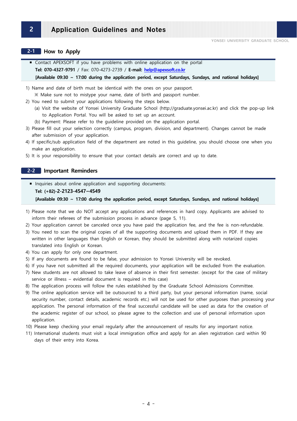### **2** Application Guidelines and Notes

#### **2-1 How to Apply**

**EXALLE CONTEX COFT** if you have problems with online application on the portal **Tel: 070-4327-9791** / Fax: 070-4273-2739 / **E-mail: help@apexsoft.co.kr**

 **[Available 09:30 ~ 17:00 during the application period, except Saturdays, Sundays, and national holidays]**

- 1) Name and date of birth must be identical with the ones on your passport. ※ Make sure not to mistype your name, date of birth and passport number.
- 2) You need to submit your applications following the steps below.
	- (a) Visit the website of Yonsei University Graduate School (http://graduate.yonsei.ac.kr) and click the pop-up link to Application Portal. You will be asked to set up an account.
	- (b) Payment: Please refer to the guideline provided on the application portal.
- 3) Please fill out your selection correctly (campus, program, division, and department). Changes cannot be made after submission of your application.
- 4) If specific/sub application field of the department are noted in this guideline, you should choose one when you make an application.
- 5) It is your responsibility to ensure that your contact details are correct and up to date.

#### **2-2 Important Reminders**

■ Inquiries about online application and supporting documents:

#### **Tel: (+82)-2-2123-4547~4549**

 **[Available 09:30 ~ 17:00 during the application period, except Saturdays, Sundays, and national holidays]**

- 1) Please note that we do NOT accept any applications and references in hard copy. Applicants are advised to inform their referees of the submission process in advance (page 5, 11).
- 2) Your application cannot be canceled once you have paid the application fee, and the fee is non-refundable.
- 3) You need to scan the original copies of all the supporting documents and upload them in PDF. If they are written in other languages than English or Korean, they should be submitted along with notarized copies translated into English or Korean.
- 4) You can apply for only one department.
- 5) If any documents are found to be false, your admission to Yonsei University will be revoked.
- 6) If you have not submitted all the required documents, your application will be excluded from the evaluation.
- 7) New students are not allowed to take leave of absence in their first semester. (except for the case of military service or illness – evidential document is required in this case)
- 8) The application process will follow the rules established by the Graduate School Admissions Committee.
- 9) The online application service will be outsourced to a third party, but your personal information (name, social security number, contact details, academic records etc.) will not be used for other purposes than processing your application. The personal information of the final successful candidate will be used as data for the creation of the academic register of our school, so please agree to the collection and use of personal information upon application.
- 10) Please keep checking your email regularly after the announcement of results for any important notice.
- 11) International students must visit a local immigration office and apply for an alien registration card within 90 days of their entry into Korea.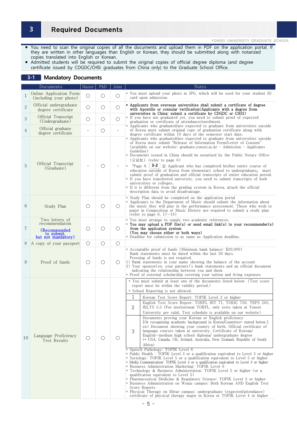### **3** Required Documents

YONSEI UNIVERSITY GRADUATE SCHOOL

- You need to scan the original copies of all the documents and upload them in PDF on the application portal. If they are written in other languages than English or Korean, they should be submitted along with notarized copies translated into English or Korean.
- Admitted students will be required to submit the original copies of official degree diploma (and degree certificate issued by CDGDC/CHSI: graduates from China only) to the Graduate School Office.

#### **3-1 Mandatory Documents**

|                | Documents                                                                             | Master         | PhD        | Joint                    | Notes                                                                                                                                                                                                                                                                                                                                                                                                                                                                                                                                                                                                                                                                                                                                                                                                                                                                                                                                                                                                                                                                                                                                                                                                                                                                                                                                                                                                                                                                                                                                                                                                                                                                                         |
|----------------|---------------------------------------------------------------------------------------|----------------|------------|--------------------------|-----------------------------------------------------------------------------------------------------------------------------------------------------------------------------------------------------------------------------------------------------------------------------------------------------------------------------------------------------------------------------------------------------------------------------------------------------------------------------------------------------------------------------------------------------------------------------------------------------------------------------------------------------------------------------------------------------------------------------------------------------------------------------------------------------------------------------------------------------------------------------------------------------------------------------------------------------------------------------------------------------------------------------------------------------------------------------------------------------------------------------------------------------------------------------------------------------------------------------------------------------------------------------------------------------------------------------------------------------------------------------------------------------------------------------------------------------------------------------------------------------------------------------------------------------------------------------------------------------------------------------------------------------------------------------------------------|
| 1              | Online Application Form<br>(including your photo)                                     | $\bigcirc$     | $\bigcirc$ | $\bigcirc$               | * You must upload your photo in JPG, which will be used for your student ID<br>card upon admission.                                                                                                                                                                                                                                                                                                                                                                                                                                                                                                                                                                                                                                                                                                                                                                                                                                                                                                                                                                                                                                                                                                                                                                                                                                                                                                                                                                                                                                                                                                                                                                                           |
| $\overline{2}$ | Official undergraduate<br>degree certificate                                          | $\bigcirc$     | $\bigcirc$ | $\bigcirc$               | * Applicants from overseas universities shall submit a certificate of degree<br>with Apostille or consular verification (Applicants with a degree from                                                                                                                                                                                                                                                                                                                                                                                                                                                                                                                                                                                                                                                                                                                                                                                                                                                                                                                                                                                                                                                                                                                                                                                                                                                                                                                                                                                                                                                                                                                                        |
| 3              | Official Transcript<br>(Undergraduate)                                                | O              | $\bigcirc$ | $\bigcirc$               | universities in China: submit a certificate by CDGDC or CHSI)<br>* If you have not graduated yet, you need to submit proof of expected<br>graduation or certificate of attendance/enrollment.                                                                                                                                                                                                                                                                                                                                                                                                                                                                                                                                                                                                                                                                                                                                                                                                                                                                                                                                                                                                                                                                                                                                                                                                                                                                                                                                                                                                                                                                                                 |
| 4              | Official graduate<br>degree certificate                                               | $\overline{a}$ | $\bigcirc$ | $\overline{\phantom{a}}$ | * Applicants who graduated/are expected to graduate from universities outside<br>of Korea must submit original copy of graduation certificate along with<br>degree certificate within 10 days of the semester start date.                                                                                                                                                                                                                                                                                                                                                                                                                                                                                                                                                                                                                                                                                                                                                                                                                                                                                                                                                                                                                                                                                                                                                                                                                                                                                                                                                                                                                                                                     |
| 5              | Official Transcript<br>(Graduate)                                                     |                | $\bigcirc$ |                          | * Applicants who graduated/are expected to graduate from universities outside<br>of Korea must submit "Release of Information Form/Letter of Consent"<br>(available on our website: graduate.yonsei.ac.kr - Admission - Applicants<br>Guideline)<br>* Documents issued in China should be notarized by the Public Notary Office<br>(公证处). (refer to page 6)<br>Page 6. $\left[ 3\text{-}2 \right]$ $\odot$ Applicant who has completed his/her entire course of<br>education outside of Korea from elementary school to undergraduate, must<br>submit proof of graduation and official transcripts of entire education period.<br>* If you have transferred university, you need to submit transcripts of both<br>universities or colleges.<br>* If it is different from the grading system in Korea, attach the official<br>description data to avoid disadvantage.                                                                                                                                                                                                                                                                                                                                                                                                                                                                                                                                                                                                                                                                                                                                                                                                                          |
| 6              | Study Plan                                                                            | $\bigcirc$     | $\bigcirc$ | O                        | * Study Plan should be completed on the application portal<br>* Applicants to the Department of Music should submit the information about<br>the music they will play in the performance assessment. Those who wish to<br>major in Composition or Music History are required to submit a study plan<br>(refer to page 6, $17-18$ )                                                                                                                                                                                                                                                                                                                                                                                                                                                                                                                                                                                                                                                                                                                                                                                                                                                                                                                                                                                                                                                                                                                                                                                                                                                                                                                                                            |
| 7              | Two letters of<br>recommendation<br>(Recommended)<br>to submit,<br>but not mandatory) | O              | $\bigcirc$ | $\bigcirc$               | * You must arrange to supply two academic references.<br>* You may upload a PDF file(s) or send email link(s) to your recommender(s)<br>from the application system<br>(You may choose either or both ways)<br>* Deadline for submission is as same as Application deadline.                                                                                                                                                                                                                                                                                                                                                                                                                                                                                                                                                                                                                                                                                                                                                                                                                                                                                                                                                                                                                                                                                                                                                                                                                                                                                                                                                                                                                  |
| 8              | A copy of your passport                                                               | $\bigcirc$     | $\bigcirc$ | $\bigcirc$               |                                                                                                                                                                                                                                                                                                                                                                                                                                                                                                                                                                                                                                                                                                                                                                                                                                                                                                                                                                                                                                                                                                                                                                                                                                                                                                                                                                                                                                                                                                                                                                                                                                                                                               |
| 9              | Proof of funds                                                                        | O              | $\bigcirc$ | $\circ$                  | * Acceptable proof of funds (Minimum bank balance: \$20,000)<br>Bank statements must be dated within the last 30 days.<br>Freezing of funds is not required.<br>1) Bank statements in your name showing the balance of the account<br>2) Your sponsor (ex. your parents)'s bank statements and an official document<br>indicating the relationship between you and them<br>* Proof of external scholarship covering your tuition and living expenses                                                                                                                                                                                                                                                                                                                                                                                                                                                                                                                                                                                                                                                                                                                                                                                                                                                                                                                                                                                                                                                                                                                                                                                                                                          |
| 10             | Language Proficiency<br>Test Results                                                  | $\bigcirc$     | Ő          | $\bigcirc$               | * You must submit at least one of the documents listed below. (Test score<br>report must be within the validity period.)<br>* School Reporting is not allowed.<br>1<br>Korean Test Score Report: TOPIK Level 3 or higher<br>English Test Score Report: TOEFL IBT 71, TOEIC 750, TEPS 285,<br>$\overline{2}$<br>IELTS 5.5 (For institutional TOEFL, only tests taken at Yonsei<br>University are valid. Test schedule is available on our website)<br>Documents proving your Korean or English proficiency<br>[Or recognizing academic background in Korea/Countries* stated below.]<br>ex) Document showing your country of birth, Official certificate of<br>3<br>language courses taken at university, Certificate of Korean/<br>English-medium high school diploma/ undergraduate degree<br>(* USA, Canada, UK, Ireland, Australia, New Zealand, Republic of South<br>Africa)<br>* Speech Pathology: TOPIK Level 6<br>* Public Health : TOPIK Level 3 or a qualification equivalent to Level 3 or higher<br>* Sociology: TOPIK Level 5 or a qualification equivalent to Level 5 or higher<br>* Media Communication: TOPIK Level 4 or a qualification equivalent to Level 4 or higher<br>* Business Administration Marketing: TOPIK Level 6<br>* Technology & Business Administration: TOPIK Level 5 or higher (or a<br>qualification equivalent to Level 5)<br>* Pharmaceutical Medicine & Regulatory Science: TOPIK Level 3 or higher<br>* Business Administration on Wonju campus: Both Korean AND English Test<br>Score Reports<br>* Physical Therapy on Mirae campus: undergraduate (expected/attendance)<br>certificate of physical therapy major in Korea or TOPIK Level 4 or higher |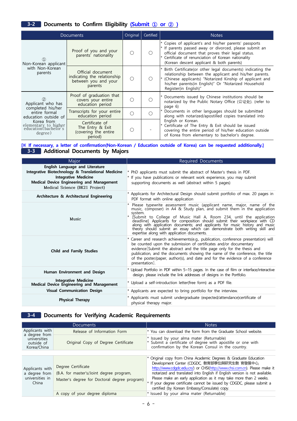#### **3-2 Documents to Confirm Eligibility (Submit ① or ② )**

| Documents                                                                                                                                                |                                                                                     |   | Certified  | <b>Notes</b>                                                                                                                                                                                                                                                                              |
|----------------------------------------------------------------------------------------------------------------------------------------------------------|-------------------------------------------------------------------------------------|---|------------|-------------------------------------------------------------------------------------------------------------------------------------------------------------------------------------------------------------------------------------------------------------------------------------------|
| $\textcircled{\scriptsize{1}}$<br>Non-Korean applicant<br>with Non-Korean<br>parents                                                                     | Proof of you and your<br>parents <sup><i>'</i></sup> nationality                    |   |            | $*$ Copies of applicant's and his/her parents' passports<br>$*$ If parents passed away or divorced, please submit an<br>official document that proves their legal status.<br>* Certificate of renunciation of Korean nationality<br>(Korean descent applicant & both parents)             |
|                                                                                                                                                          | Official document<br>indicating the relationship<br>between you and your<br>parents | ∩ | $\bigcirc$ | <sup>*</sup> Birth Certificate(or other legal documents) indicating the<br>relationship between the applicant and his/her parents.<br>$\vert$ * (Chinese applicants) "Notarized Kinship of applicant and<br>his/her parents(in English)" Or "Notarized Household<br>Register(in English)" |
| Applicant who has<br>completed his/her<br>entire formal<br>education outside of<br>Korea from<br>elementary to higher<br>education(bachelor's<br>degree) | Proof of graduation that<br>covers your entire<br>education period                  |   |            | Documents issued by Chinese institutions should be<br>notarized by the Public Notary Office (公证处). (refer to<br>page $6)$                                                                                                                                                                 |
|                                                                                                                                                          | Transcripts for your entire<br>education period                                     | ∩ | $\bigcirc$ | Documents in other languages should be submitted<br>along with notarized/apostilled copies translated into                                                                                                                                                                                |
|                                                                                                                                                          | Certificate of<br>The Entry & Exit<br>(covering the entire<br>period)               |   |            | English or Korean.<br>Certificate of The Entry & Exit should be issued<br>covering the entire period of his/her education outside<br>of Korea from elementary to bachelor's degree.                                                                                                       |

#### **[※ If necessary, a letter of confirmation(Non-Korean / Education outside of Korea) can be requested additionally.] 3-3 Additional Documents by Majors**

| Major                                                                                                                                                                                                      | Required Documents                                                                                                                                                                                                                                                                                                                                                                                                                                                                                                          |
|------------------------------------------------------------------------------------------------------------------------------------------------------------------------------------------------------------|-----------------------------------------------------------------------------------------------------------------------------------------------------------------------------------------------------------------------------------------------------------------------------------------------------------------------------------------------------------------------------------------------------------------------------------------------------------------------------------------------------------------------------|
| English Language and Literature<br>Integrative Biotechnology & Translational Medicine<br><b>Integrative Medicine</b><br><b>Medical Device Engineering and Management</b><br>Medical Science (BK21 Project) | * PhD applicants must submit the abstract of Master's thesis in PDF.<br>* If you have publications or relevant work experience, you may submit<br>supporting documents as well (abstract within 5 pages)                                                                                                                                                                                                                                                                                                                    |
| Architecture & Architectural Engineering                                                                                                                                                                   | * Applicants for Architectural Design should submit portfolio of max. 20 pages in<br>PDF format with online application                                                                                                                                                                                                                                                                                                                                                                                                     |
| Music                                                                                                                                                                                                      | * Please typewrite assessment music (applicant name, major, name of the<br>music, composer) in A4 & Study plan, and submit them in the application<br>system.<br>* [Submit to College of Music Hall A, Room 234, until the application<br>deadline] Applicants for composition should submit their workpiece with CD<br>along with application documents; and applicants for music history and music theory should submit an essay which can demonstrate both writing skill and expertise along with application documents. |
| <b>Child and Family Studies</b>                                                                                                                                                                            | * Career and research achievements(e.g., publication, conference presentation) will<br>be counted upon the submission of certificates and/or documentary<br>evidence [Submit the abstract and the title page only for the thesis and<br>publication, and the documents showing the name of the conference, the title<br>of the poster/paper, author(s), and date and for the evidence of a conference<br>presentation].                                                                                                     |
| Human Environment and Design                                                                                                                                                                               | * Upload Portfolio in PDF within 5~15 pages. In the case of film or interface/interactive<br>design, please include the link addresses of designs in the Portfolio.                                                                                                                                                                                                                                                                                                                                                         |
| <b>Integrative Medicine</b><br>Medical Device Engineering and Management                                                                                                                                   | * Upload a self-introduction letter(free form) as a PDF file.                                                                                                                                                                                                                                                                                                                                                                                                                                                               |
| <b>Visual Communication Design</b>                                                                                                                                                                         | * Applicants are expected to bring portfolio for the interview.                                                                                                                                                                                                                                                                                                                                                                                                                                                             |
| <b>Physical Therapy</b>                                                                                                                                                                                    | * Applicants must submit undergraduate (expected/attendance)certificate of<br>physical therapy major.                                                                                                                                                                                                                                                                                                                                                                                                                       |

#### **3-4 Documents for Verifying Academic Requirements**

|                                                                               | <b>Documents</b>                                                                                               | <b>Notes</b>                                                                                                                                                                                                                                                                                                                                                                                                                                                                  |
|-------------------------------------------------------------------------------|----------------------------------------------------------------------------------------------------------------|-------------------------------------------------------------------------------------------------------------------------------------------------------------------------------------------------------------------------------------------------------------------------------------------------------------------------------------------------------------------------------------------------------------------------------------------------------------------------------|
| Applicants with<br>a degree from<br>universities<br>outside of<br>Korea/China | Release of Information Form                                                                                    | * You can download the form from the Graduate School website.                                                                                                                                                                                                                                                                                                                                                                                                                 |
|                                                                               | Original Copy of Degree Certificate                                                                            | * Issued by your alma mater (Returnable)<br>* Submit a certificate of degree with apostille or one with<br>* confirmation by the Korean Consul in the country.                                                                                                                                                                                                                                                                                                                |
|                                                                               |                                                                                                                |                                                                                                                                                                                                                                                                                                                                                                                                                                                                               |
| Applicants with<br>a degree from<br>universities in<br>China                  | Degree Certificate<br>(B.A. for master's/Joint degree program,<br>Master's degree for Doctoral degree program) | * Original copy from China Academic Degrees & Graduate Education<br>Development Center (CDGDC, 教育部學位與研究生教 育發展中心,<br>http://www.cdgdc.edu.cn/) or CHSI(http://www.chsi.com.cn). Please make it<br>notarized and translated into English if English version is not available.<br>Please make an early application as it may take more than 2 weeks.<br>* If your degree certificate cannot be issued by CDGDC, please submit a<br>certified (by Korean Embassy/Consulate) copy. |
|                                                                               | A copy of your degree diploma                                                                                  | * Issued by your alma mater (Returnable)                                                                                                                                                                                                                                                                                                                                                                                                                                      |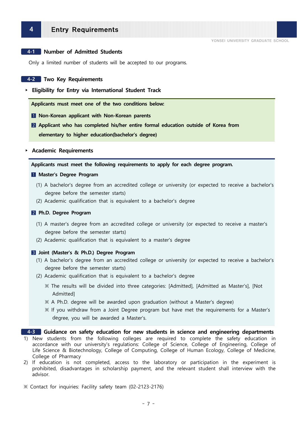#### **4** Entry Requirements

#### **4-1 Number of Admitted Students**

Only a limited number of students will be accepted to our programs.

#### **4-2 Two Key Requirements**

**▸ Eligibility for Entry via International Student Track**

**Applicants must meet one of the two conditions below:**

- **1 Non-Korean applicant with Non-Korean parents**
- **2** Applicant who has completed his/her entire formal education outside of Korea from  **elementary to higher education(bachelor's degree)**
- **▸ Academic Requirements**

#### **Applicants must meet the following requirements to apply for each degree program.**

#### **1** Master's Degree Program

- (1) A bachelor's degree from an accredited college or university (or expected to receive a bachelor's degree before the semester starts)
- (2) Academic qualification that is equivalent to a bachelor's degree

#### **Ph.D. Degree Program**

- (1) A master's degree from an accredited college or university (or expected to receive a master's degree before the semester starts)
- (2) Academic qualification that is equivalent to a master's degree

#### **Joint (Master's & Ph.D.) Degree Program**

- (1) A bachelor's degree from an accredited college or university (or expected to receive a bachelor's degree before the semester starts)
- (2) Academic qualification that is equivalent to a bachelor's degree
	- ※ The results will be divided into three categories: [Admitted], [Admitted as Master's], [Not Admitted]
	- ※ A Ph.D. degree will be awarded upon graduation (without a Master's degree)
	- ※ If you withdraw from a Joint Degree program but have met the requirements for a Master's degree, you will be awarded a Master's.

#### **4-3 Guidance on safety education for new students in science and engineering departments**

- 1) New students from the following colleges are required to complete the safety education in accordance with our university's regulations: College of Science, College of Engineering, College of Life Science & Biotechnology, College of Computing, College of Human Ecology, College of Medicine, College of Pharmacy
- 2) If education is not completed, access to the laboratory or participation in the experiment is prohibited, disadvantages in scholarship payment, and the relevant student shall interview with the advisor.

※ Contact for inquiries: Facility safety team (02-2123-2176)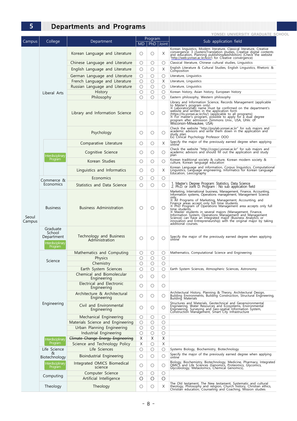## **5** Departments and Programs

YONSEI UNIVERSITY GRADUATE SCHOOL

| Campus          | College                                                          | Department                                           |                                | Program            |                                | Sub application field                                                                                                                                                                                                                                                                                                                                                                                                                                                                                                                                                                                                                                                           |  |
|-----------------|------------------------------------------------------------------|------------------------------------------------------|--------------------------------|--------------------|--------------------------------|---------------------------------------------------------------------------------------------------------------------------------------------------------------------------------------------------------------------------------------------------------------------------------------------------------------------------------------------------------------------------------------------------------------------------------------------------------------------------------------------------------------------------------------------------------------------------------------------------------------------------------------------------------------------------------|--|
|                 |                                                                  |                                                      | <b>MD</b>                      |                    | PhD   Joint                    |                                                                                                                                                                                                                                                                                                                                                                                                                                                                                                                                                                                                                                                                                 |  |
|                 |                                                                  | Korean Language and Literature                       | O                              | O                  | Χ                              | Korean linguistics, Modern literature, Classical literature, Creative convergence: 3 clusters(Translation studies, Creative digital contents and education, Planning publishing&exhibition) (Check the website "http://web.yon                                                                                                                                                                                                                                                                                                                                                                                                                                                  |  |
|                 |                                                                  | Chinese Language and Literature                      | $\circ$                        | О                  | О                              | Classical literature, Chinese cultural studies, Linguistics                                                                                                                                                                                                                                                                                                                                                                                                                                                                                                                                                                                                                     |  |
|                 |                                                                  | English Language and Literature                      | О                              | О                  | Χ                              | English Literature & Cultural Studies, English Linguistics, Rhetoric &<br>Composition                                                                                                                                                                                                                                                                                                                                                                                                                                                                                                                                                                                           |  |
|                 |                                                                  | German Language and Literature                       | О                              | О                  | О                              | Literature, Linguistics                                                                                                                                                                                                                                                                                                                                                                                                                                                                                                                                                                                                                                                         |  |
|                 |                                                                  | French Language and Literature                       | $\circlearrowright$            | О                  | X                              | Literature, Linguistics                                                                                                                                                                                                                                                                                                                                                                                                                                                                                                                                                                                                                                                         |  |
|                 |                                                                  | Russian Language and Literature                      | О                              | О                  | O                              | Literature, Linguistics                                                                                                                                                                                                                                                                                                                                                                                                                                                                                                                                                                                                                                                         |  |
|                 | Liberal Arts                                                     | <b>History</b>                                       | О                              | О                  | O                              | Korean history, Asian history, European history                                                                                                                                                                                                                                                                                                                                                                                                                                                                                                                                                                                                                                 |  |
|                 |                                                                  | Philosophy                                           | О                              | $\circ$            | Ω                              | Eastern philosophy, Western philosophy<br>Library and Information Science, Records Management (applicable                                                                                                                                                                                                                                                                                                                                                                                                                                                                                                                                                                       |  |
|                 |                                                                  | Library and Information Science                      | O                              | О                  | Ω                              | Library and information Science, Records Management (applicable<br>to Master's program only)<br>* Laboratory(lab) name must be confirmed on the department's<br>website and written in the application form<br>(https://lis.yonsei.ac.k                                                                                                                                                                                                                                                                                                                                                                                                                                         |  |
|                 |                                                                  | Psychology                                           | О                              | O                  | O                              | Check the website "http://psylab.yonsei.ac.kr" for sub majors and academic advisors and write them down in the application and<br>study plan<br>Ex) Clinical Psychology Professor OOO                                                                                                                                                                                                                                                                                                                                                                                                                                                                                           |  |
|                 |                                                                  | Comparative Literature                               | О                              | О                  | Χ                              | Specify the major of the previously earned degree when applying<br>online                                                                                                                                                                                                                                                                                                                                                                                                                                                                                                                                                                                                       |  |
|                 | Interdisciplinary                                                | Cognitive Science                                    | О                              | О                  | О                              | Check the website "http://cogsci.yonsei.ac.kr" for sub majors and academic advisors and should fill out the application and study<br>plan                                                                                                                                                                                                                                                                                                                                                                                                                                                                                                                                       |  |
|                 | Program                                                          | Korean Studies                                       | О                              | О                  | O                              | Korean traditional society & culture, Korean modern society &<br>culture, Korean languagé education                                                                                                                                                                                                                                                                                                                                                                                                                                                                                                                                                                             |  |
| Seoul<br>Campus |                                                                  | Linguistics and Informatics                          | O                              | O                  | Χ                              | Korean Language and information, Corpus linguistics, Computational<br>Linguistics, Language engineering, Informatics for Korean Language<br>Education, Lexicography                                                                                                                                                                                                                                                                                                                                                                                                                                                                                                             |  |
|                 | Commerce &                                                       | Economics                                            | О                              | О                  | О                              |                                                                                                                                                                                                                                                                                                                                                                                                                                                                                                                                                                                                                                                                                 |  |
|                 | Economics                                                        | Statistics and Data Science                          | О                              | О                  | О                              | 1. Master's Degree Program: Statistics, Data Science<br>2. Ph.D. or Joint D. Program : No sub application field                                                                                                                                                                                                                                                                                                                                                                                                                                                                                                                                                                 |  |
|                 | <b>Business</b>                                                  | <b>Business Administration</b>                       | O                              | O                  | $\left(\right)$                | Marketing, International business, Management, Finance, Accounting, Information systems, Operations management, Management Science<br>Solution of Marketing, Marketing Management, Accounting, and Marketing areas accept only full time students.<br>Finance areas accept only full time students.<br>MPID Program of Operations Management area accepts only full<br>time students.<br><b>X Master students in several majors (Management, Finance, Information System, Operations Management and Management</b><br>Science) can have an integrated major (Business Analytics or<br>innovation and Entrepreneurship) with the original major by taking<br>additional courses. |  |
|                 | Graduate<br>School<br>Department<br>Interdisciplinary<br>Program | Technology and Business<br>Administration            | О                              | O                  | С                              | Specify the major of the previously earned degree when applying<br>online                                                                                                                                                                                                                                                                                                                                                                                                                                                                                                                                                                                                       |  |
|                 |                                                                  | Mathematics and Computing                            | $\circlearrowright$            | О                  | О                              | Mathematics, Computational Science and Engineering                                                                                                                                                                                                                                                                                                                                                                                                                                                                                                                                                                                                                              |  |
|                 | Science                                                          | Physics                                              | О                              | О                  | О                              |                                                                                                                                                                                                                                                                                                                                                                                                                                                                                                                                                                                                                                                                                 |  |
|                 |                                                                  | Chemistry                                            | $\circlearrowright$            | $\circ$            | $\circlearrowright$            |                                                                                                                                                                                                                                                                                                                                                                                                                                                                                                                                                                                                                                                                                 |  |
|                 |                                                                  | Earth System Sciences<br>Chemical and Biomolecular   | О                              | $\circ$            | $\bigcirc$                     | Earth System Sciences, Atmospheric Sciences, Astronomy                                                                                                                                                                                                                                                                                                                                                                                                                                                                                                                                                                                                                          |  |
|                 |                                                                  | Engineering                                          | О                              | $\bigcirc$         | О                              |                                                                                                                                                                                                                                                                                                                                                                                                                                                                                                                                                                                                                                                                                 |  |
|                 |                                                                  | Electrical and Electronic<br>Engineering             | О                              | $\circ$            | О                              |                                                                                                                                                                                                                                                                                                                                                                                                                                                                                                                                                                                                                                                                                 |  |
|                 |                                                                  | Architecture & Architectural<br>Engineering          | $\circlearrowright$            | $\circ$            | О                              | Architectural History, Planning & Theory, Architectural Design,<br>Building Environments, Building Construction, Structural Engineering,<br>Building Materials                                                                                                                                                                                                                                                                                                                                                                                                                                                                                                                  |  |
|                 | Engineering                                                      | Civil and Environmental<br>Engineering               | $\circlearrowright$            | $\circ$            | О                              | Structures and Materials, Geotechnical and Geoenvironmental<br>Engineering, Water Resources and Ecosystems, Environmental<br>Engineering, Surveying and Geo-spatial Information System,<br>Construction Management, Smart City Infrastr                                                                                                                                                                                                                                                                                                                                                                                                                                         |  |
|                 |                                                                  | Mechanical Engineering                               | O                              | $\bigcirc$         | О                              |                                                                                                                                                                                                                                                                                                                                                                                                                                                                                                                                                                                                                                                                                 |  |
|                 |                                                                  | Materials Science and Engineering                    | $\circlearrowright$            | $\circ$            | $\circ$                        |                                                                                                                                                                                                                                                                                                                                                                                                                                                                                                                                                                                                                                                                                 |  |
|                 |                                                                  | Urban Planning Engineering<br>Industrial Engineering | $\circlearrowright$<br>$\circ$ | $\circ$<br>$\circ$ | $\circ$<br>$\circlearrowright$ |                                                                                                                                                                                                                                                                                                                                                                                                                                                                                                                                                                                                                                                                                 |  |
|                 | nterdisciplinary                                                 | Climate Change Energy Engineering                    | X                              | X                  | Χ                              |                                                                                                                                                                                                                                                                                                                                                                                                                                                                                                                                                                                                                                                                                 |  |
|                 | Program                                                          | Science and Technology Policy                        | X                              | $\circ$            | Χ                              |                                                                                                                                                                                                                                                                                                                                                                                                                                                                                                                                                                                                                                                                                 |  |
|                 | Life Science                                                     | Life Sciences                                        | $\circ$                        | $\circ$            | О                              | Systems Biology, Biochemistry, Biotechnology                                                                                                                                                                                                                                                                                                                                                                                                                                                                                                                                                                                                                                    |  |
|                 | &<br>Biotechnology                                               | <b>Bioindustrial Engineering</b>                     | $\circlearrowright$            | $\circ$            | $\circlearrowright$            | Specify the major of the previously earned degree when applying<br>online                                                                                                                                                                                                                                                                                                                                                                                                                                                                                                                                                                                                       |  |
|                 | <b>Interdisciplinary</b><br>Program                              | Integrated OMICS Biomedical<br>science               | О                              | O                  | О                              | Biology, Biochemistry, Biotechnology, Medicine, Pharmacy, Integrated<br>OMICS and Life Sciences (Genomics, Proteomics, Glycomics,<br>Glycobiology, Metaolomics, Chemical Genomics),                                                                                                                                                                                                                                                                                                                                                                                                                                                                                             |  |
|                 | Computing                                                        | Computer Science                                     | $\circ$                        | $\circ$            | O                              |                                                                                                                                                                                                                                                                                                                                                                                                                                                                                                                                                                                                                                                                                 |  |
|                 |                                                                  | Artificial Intelligence                              | $\circ$                        | $\circ$            | O                              |                                                                                                                                                                                                                                                                                                                                                                                                                                                                                                                                                                                                                                                                                 |  |
|                 | Theology                                                         | Theology                                             | О                              | $\circ$            | Χ                              | The Old testament, The New testament, Systematic and cultural<br>theology, Philosophy and religion, Church history, Christian ethics,<br>Christian education, Counseling and Coaching, Mission studies                                                                                                                                                                                                                                                                                                                                                                                                                                                                          |  |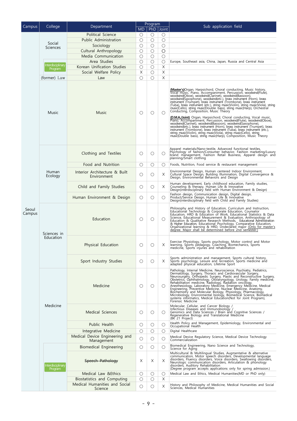| Campus          | College                      | Department                                   | <b>MD</b>              | Program            | PhD Joint     | Sub application field                                                                                                                                                                                                                                                                                                                                                                                                                                                                                                                                                                                                                                               |
|-----------------|------------------------------|----------------------------------------------|------------------------|--------------------|---------------|---------------------------------------------------------------------------------------------------------------------------------------------------------------------------------------------------------------------------------------------------------------------------------------------------------------------------------------------------------------------------------------------------------------------------------------------------------------------------------------------------------------------------------------------------------------------------------------------------------------------------------------------------------------------|
|                 |                              | Political Science                            | О                      | $\circ$            | $\circ$       |                                                                                                                                                                                                                                                                                                                                                                                                                                                                                                                                                                                                                                                                     |
|                 |                              | Public Administration                        | $\circlearrowright$    | $\bigcirc$         | $\circ$       |                                                                                                                                                                                                                                                                                                                                                                                                                                                                                                                                                                                                                                                                     |
|                 | Social<br>Sciences           | Sociology                                    | $\circ$                | $\bigcirc$         | $\circ$       |                                                                                                                                                                                                                                                                                                                                                                                                                                                                                                                                                                                                                                                                     |
|                 |                              | Cultural Anthropology                        | $\circ$                | $\circ$            | $\circ$       |                                                                                                                                                                                                                                                                                                                                                                                                                                                                                                                                                                                                                                                                     |
|                 |                              | Media Communication                          | $\circ$                | $\circ$            | $\circ$       |                                                                                                                                                                                                                                                                                                                                                                                                                                                                                                                                                                                                                                                                     |
|                 | Interdisciplinary            | Area Studies                                 | О                      | $\circ$            | $\circ$       | Europe, Southeast asia, China, Japan, Russia and Central Asia                                                                                                                                                                                                                                                                                                                                                                                                                                                                                                                                                                                                       |
|                 | Program                      | Korean Unification Studies                   | $\circ$<br>X           | $\circ$            | Χ<br>$\times$ |                                                                                                                                                                                                                                                                                                                                                                                                                                                                                                                                                                                                                                                                     |
|                 | (former) Law                 | Social Welfare Policy<br>Law                 | $\bigcirc$             | $\circ$<br>$\circ$ | X             |                                                                                                                                                                                                                                                                                                                                                                                                                                                                                                                                                                                                                                                                     |
|                 |                              |                                              |                        |                    |               |                                                                                                                                                                                                                                                                                                                                                                                                                                                                                                                                                                                                                                                                     |
|                 | Music                        | Music                                        | О                      | $\circ$            | $\bigcirc$    | <b>(Master's)</b> Organ, Harpsichord, Choral conducting, Music history, Vocal music, Piano, Accompaniment, Percussion, woodwind(Flute), woodwind(Charinet), woodwind(Bassoon), woodwind(Saxophone), woodwind(etc.), brass instrument<br>Conducting, Composition, Music Theory<br><b>(D.M.A./Joint)</b> Organ, Harpsichord, Choral conducting, Vocal music, Piano, Accompaniment, Percussion, woodwind(Flute), woodwind(Oboe), woodwind(Saxophone), woodwind(Saxophone), woodwind(Saxophone), brass instrument (Horn)<br>string music(Violin), string music(Viola), string music(Cello), string<br>music(Double bass), string music(Harp), Composition, Music Theory |
|                 |                              | Clothing and Textiles                        | О                      | $\circ$            | О             | Apparel materials/Nano-textile, Advanced functional textiles,<br>Psychology of fashion/Consumer behavior, Fashion marketing/Luxury<br>brand management, Fashion Retail Business, Apparel design and<br>planning/Smart clothing                                                                                                                                                                                                                                                                                                                                                                                                                                      |
|                 |                              | Food and Nutrition                           | О                      | О                  | $\circ$       | Foods, Nutrition, Food service & restaurant management                                                                                                                                                                                                                                                                                                                                                                                                                                                                                                                                                                                                              |
|                 | Human<br>Ecology             | Interior Architecture & Built<br>Environment | О                      | $\circ$            | Χ             | Environmental Design, Human centered Indoor Environment,<br>Cultural Space Design, Building Illumination, Digital Convergence &<br>Design, Environmental Behaviors and Design                                                                                                                                                                                                                                                                                                                                                                                                                                                                                       |
|                 |                              | Child and Family Studies                     | О                      | $\circ$            | X             | Human development, Early childhood education, Family studies,<br>Counseling & therapy, Human Life & Innovative<br>Design(interdisciplinary field with Human Environment & Design)                                                                                                                                                                                                                                                                                                                                                                                                                                                                                   |
|                 |                              | Human Environment & Design                   | O                      | $\circ$            | O             | Fashion design, Communication design, Digital design,<br>Product/Service Design, Human Life & Innovative<br>Design(interdisciplinary field with Child and Family Studies)                                                                                                                                                                                                                                                                                                                                                                                                                                                                                           |
| Seoul<br>Campus | Sciences in<br>Education     | Education                                    | О                      | О                  | O             | Philosophy and History of Education, Curriculum and Instruction, Educational Technology & Corporate Education, Counselor<br>Education, HRD & Education of Work, Educational Statistics & Data<br>Science, Educational Measurement &                                                                                                                                                                                                                                                                                                                                                                                                                                 |
|                 |                              | Physical Education                           | $\bigcap$              | $\circ$            | X.            | Exercise Physiology, Sports psychology, Motor control and Motor<br>learning, Sports pedagogy, Coaching, Biomechanics, Sports<br>medicine, Sports injuries and rehabilitation                                                                                                                                                                                                                                                                                                                                                                                                                                                                                        |
|                 |                              |                                              | Sport Industry Studies | O                  | O             | Χ                                                                                                                                                                                                                                                                                                                                                                                                                                                                                                                                                                                                                                                                   |
|                 |                              | Medicine                                     | O                      | $\circ$            | O             | Pathology, Internal Medicine, Neuroscience, Psychiatry, Pediatrics,<br>Patnotogy, Internal Medicine, Neuroscience, Psychiatry, Pediatrics, Dermatology, Surgery, Thoracic and Cardiovascular Surgery, Neurosurgery, Othopedic Surgery, Plastic and Reconstructive Surgery, Rehabilitation medicine, R                                                                                                                                                                                                                                                                                                                                                               |
|                 | Medicine                     | <b>Medical Sciences</b>                      | О                      | $\circ$            | О             | Molecular, Cellular, and Cancer Biology /<br>Infectious Diseases and Immunobiology /<br>Genomics and Data Sciences / Brain and Cognitive Sciences /<br>Regenerative Biology and Translational Medicine<br>(BK 21 Project)                                                                                                                                                                                                                                                                                                                                                                                                                                           |
|                 |                              | Public Health                                | О                      | О                  | O             | Health Policy and Management, Epidemiology, Environmental and<br>Occupational Health                                                                                                                                                                                                                                                                                                                                                                                                                                                                                                                                                                                |
|                 |                              | Integrative Medicine                         | О                      | $\circ$            | O             | Digital Healthcare                                                                                                                                                                                                                                                                                                                                                                                                                                                                                                                                                                                                                                                  |
|                 |                              | Medical Device Engineering and<br>Management | О                      | $\circ$            | O             | Medical Device Regulatory Science, Medical Device Technology<br>Commercialization                                                                                                                                                                                                                                                                                                                                                                                                                                                                                                                                                                                   |
|                 |                              | <b>Biomedical Engineering</b>                | О                      | $\circ$            | О             | Biomedical Engineering, Nano Science and Technology,                                                                                                                                                                                                                                                                                                                                                                                                                                                                                                                                                                                                                |
|                 |                              |                                              |                        |                    |               | Science for Aging<br>Multicultural & Multilingual Studies, Augmentative & alternative                                                                                                                                                                                                                                                                                                                                                                                                                                                                                                                                                                               |
|                 | Interdisciplinary<br>Program | Speech Pathology                             | X                      | Χ                  | Χ             | Motor speech disorders, Powelopmental language<br>communication, Motor speech disorders, Developmental language<br>disorders, Voice disorders, Swallowing disorders, Neurologic communication disorders, Articulation & phonology<br>di<br>(Degree program accepts applications only for spring admission.)                                                                                                                                                                                                                                                                                                                                                         |
|                 |                              | Medical Law & Ethics                         | О                      | $\circ$            | O             | Medical Law and Ethics, Medical Humanities (MD or PhD only)                                                                                                                                                                                                                                                                                                                                                                                                                                                                                                                                                                                                         |
|                 |                              | <b>Biostatistics and Computing</b>           | О                      | $\circ$            | Χ             |                                                                                                                                                                                                                                                                                                                                                                                                                                                                                                                                                                                                                                                                     |
|                 |                              | Medical Humanities and Social<br>Science     | О                      | $\circ$            | Χ             | History and Philosophy of Medicine, Medical Humanities and Social<br>Sciences, Medical Humanities                                                                                                                                                                                                                                                                                                                                                                                                                                                                                                                                                                   |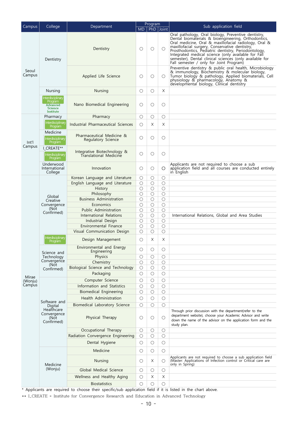| Campus          | College                                                                 | Department                                                |                          | Program<br>MD   PhD   Joint |                     | Sub application field                                                                                                                                                                                                                                                                                                                                                                                                                      |
|-----------------|-------------------------------------------------------------------------|-----------------------------------------------------------|--------------------------|-----------------------------|---------------------|--------------------------------------------------------------------------------------------------------------------------------------------------------------------------------------------------------------------------------------------------------------------------------------------------------------------------------------------------------------------------------------------------------------------------------------------|
| Seoul<br>Campus | Dentistry                                                               | Dentistry                                                 | О                        | $\circ$                     | О                   | Oral pathology, Oral biology, Preventive dentistry,<br>Dental biomaterials & bioengineering, Orthodontics,<br>Oral medicine, Oral & maxillofacial radiology, Oral &<br>maxillofacial surgery, Conservative dentistry,<br>Prosthodontics, Pediatric dentistry, Periodontology,<br>Integrated medical science (only available for Fall<br>semester), Dental clinical sciences (only available for<br>Fall semester / only for Joint Program) |
|                 |                                                                         | Applied Life Science                                      | O                        | $\circ$                     | O                   | Preventive dentistry & public oral health, Microbiology<br>& immunology, Biochemistry & molecular biology,<br>Tumor biology & pathology, Applied biomaterials, Cell<br>physiology & pharmacology, Anatomy &<br>developmental biology, Clinical dentistry                                                                                                                                                                                   |
|                 | Nursing                                                                 | <b>Nursing</b>                                            | О                        | $\circ$                     | X                   |                                                                                                                                                                                                                                                                                                                                                                                                                                            |
|                 | <b>Interdisciplinary</b><br>Program<br>Advanced<br>Science<br>Institute | Nano Biomedical Engineering                               | О                        | $\circ$                     | О                   |                                                                                                                                                                                                                                                                                                                                                                                                                                            |
|                 | Pharmacy                                                                | Pharmacy                                                  | О                        | O                           | О                   |                                                                                                                                                                                                                                                                                                                                                                                                                                            |
|                 | Interdisciplinar<br>Program                                             | Industrial Pharmaceutical Sciences                        | O                        | X                           | Χ                   |                                                                                                                                                                                                                                                                                                                                                                                                                                            |
| Int<br>Campus   | Medicine<br>Interdisciplinary<br>Program                                | Pharmaceutical Medicine &<br>Regulatory Science           | О                        | $\circ$                     | О                   |                                                                                                                                                                                                                                                                                                                                                                                                                                            |
|                 | I CREATE**<br>Interdisciplinary<br>Program                              | Integrative Biotechnology &<br>Translational Medicine     | О                        | $\circ$                     | O                   |                                                                                                                                                                                                                                                                                                                                                                                                                                            |
|                 | Underwood<br>International<br>College                                   | Innovation                                                | O                        | $\circ$                     | О                   | Applicants are not required to choose a sub<br>application field and all courses are conducted entirely<br>in English                                                                                                                                                                                                                                                                                                                      |
|                 | Global                                                                  | Korean Language and Literature                            | $\circlearrowright$      | $\circ$                     | $\circ$             |                                                                                                                                                                                                                                                                                                                                                                                                                                            |
|                 |                                                                         | English Language and Literature                           | $\circ$                  | $\bigcirc$                  | $\circ$             |                                                                                                                                                                                                                                                                                                                                                                                                                                            |
|                 |                                                                         | History<br>Philosophy                                     | $\circ$<br>О             | $\circ$<br>$\circ$          | $\circ$<br>$\circ$  |                                                                                                                                                                                                                                                                                                                                                                                                                                            |
|                 |                                                                         | <b>Business Administration</b>                            | О                        | $\circ$                     | $\circ$             |                                                                                                                                                                                                                                                                                                                                                                                                                                            |
|                 | Creative<br>Convergence                                                 | Economics                                                 | О                        | $\circ$                     | $\bigcirc$          |                                                                                                                                                                                                                                                                                                                                                                                                                                            |
|                 | (Not<br>Confirmed)                                                      | Public Administration                                     | О                        | $\circ$                     | $\circ$             |                                                                                                                                                                                                                                                                                                                                                                                                                                            |
|                 |                                                                         | <b>International Relations</b>                            | О                        | $\circ$                     | $\circlearrowright$ | International Relations, Global and Area Studies                                                                                                                                                                                                                                                                                                                                                                                           |
|                 |                                                                         | Industrial Design                                         | О                        | $\circ$                     | $\circlearrowright$ |                                                                                                                                                                                                                                                                                                                                                                                                                                            |
|                 |                                                                         | Environmental Finance                                     | О                        | $\circ$                     | $\circ$             |                                                                                                                                                                                                                                                                                                                                                                                                                                            |
|                 |                                                                         | Visual Communication Design                               | О                        | $\circ$                     | $\bigcirc$          |                                                                                                                                                                                                                                                                                                                                                                                                                                            |
|                 | nterdisciplinary<br>Program                                             | Design Management<br>Environmental and Energy             | О                        | Χ                           | X                   |                                                                                                                                                                                                                                                                                                                                                                                                                                            |
|                 | Science and                                                             | Engineering                                               | $\circlearrowright$      | $\circ$                     | $\circ$             |                                                                                                                                                                                                                                                                                                                                                                                                                                            |
|                 | Technology                                                              | Physics                                                   | $\circlearrowright$      | $\circ$                     | $\circ$             |                                                                                                                                                                                                                                                                                                                                                                                                                                            |
|                 | Convergence<br>(Not                                                     | Chemistry                                                 | $\circ$                  | $\bigcirc$                  | $\circ$             |                                                                                                                                                                                                                                                                                                                                                                                                                                            |
|                 | Confirmed)                                                              | Biological Science and Technology                         | $\bigcirc$               | $\circ$                     | $\circlearrowright$ |                                                                                                                                                                                                                                                                                                                                                                                                                                            |
| Mirae           |                                                                         | Packaging                                                 | $\bigcirc$               | $\circ$                     | $\bigcirc$          |                                                                                                                                                                                                                                                                                                                                                                                                                                            |
| (Wonju)         |                                                                         | Computer Science                                          | $\circlearrowright$      | $\circ$                     | $\circ$             |                                                                                                                                                                                                                                                                                                                                                                                                                                            |
| Campus          |                                                                         | Information and Statistics                                | $\circlearrowright$      | $\bigcirc$                  | $\circlearrowright$ |                                                                                                                                                                                                                                                                                                                                                                                                                                            |
|                 |                                                                         | <b>Biomedical Engineering</b>                             | О                        | $\bigcirc$                  | $\circlearrowright$ |                                                                                                                                                                                                                                                                                                                                                                                                                                            |
|                 | Software and                                                            | Health Administration                                     | $\circ$                  | $\circ$                     | $\circ$             |                                                                                                                                                                                                                                                                                                                                                                                                                                            |
|                 | Digital<br>Healthcare                                                   | Biomedical Laboratory Science                             | О                        | $\circ$                     | $\circlearrowright$ |                                                                                                                                                                                                                                                                                                                                                                                                                                            |
|                 | Convergence<br>(Not<br>Confirmed)                                       | Physical Therapy                                          | $\circ$                  | $\bigcirc$                  | О                   | Through prior discussion with the department(refer to the<br>department website), choose your Academic Advisor and write<br>down the name of the advisor on the application form and the<br>study plan.                                                                                                                                                                                                                                    |
|                 |                                                                         | Occupational Therapy<br>Radiation Convergence Engineering | О<br>$\circlearrowright$ | $\circ$<br>$\circ$          | $\circ$<br>$\circ$  |                                                                                                                                                                                                                                                                                                                                                                                                                                            |
|                 |                                                                         | Dental Hygiene                                            | О                        | $\circ$                     | $\circlearrowright$ |                                                                                                                                                                                                                                                                                                                                                                                                                                            |
|                 |                                                                         | Medicine                                                  | $\circlearrowright$      | $\circ$                     | $\circ$             |                                                                                                                                                                                                                                                                                                                                                                                                                                            |
|                 | Medicine                                                                | <b>Nursing</b>                                            | О                        | X                           | O                   | Applicants are not required to choose a sub application field (Master: Applications of Infection control or Critical care are<br>only in Spring)                                                                                                                                                                                                                                                                                           |
|                 | (Wonju)                                                                 | Global Medical Science                                    | $\circlearrowright$      | $\circ$                     | O                   |                                                                                                                                                                                                                                                                                                                                                                                                                                            |
|                 |                                                                         | Wellness and Healthy Aging                                | О                        | X                           | Χ                   |                                                                                                                                                                                                                                                                                                                                                                                                                                            |
|                 |                                                                         | <b>Biostatistics</b>                                      | $\bigcirc$               | $\circ$                     | $\circ$             |                                                                                                                                                                                                                                                                                                                                                                                                                                            |

\* Applicants are required to choose their specific/sub application field if it is listed in the chart above.

\*\* I\_CREATE = Institute for Convergence Research and Education in Advanced Technology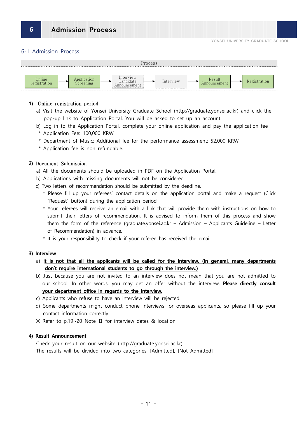#### 6-1 Admission Process



#### **1)** Online registration period

- a) Visit the website of Yonsei University Graduate School (http://graduate.yonsei.ac.kr) and click the pop-up link to Application Portal. You will be asked to set up an account.
- b) Log in to the Application Portal, complete your online application and pay the application fee
- \* Application Fee: 100,000 KRW
- \* Department of Music: Additional fee for the performance assessment: 52,000 KRW
- \* Application fee is non refundable.

#### **2)** Document Submission

- a) All the documents should be uploaded in PDF on the Application Portal.
- b) Applications with missing documents will not be considered.
- c) Two letters of recommendation should be submitted by the deadline.
	- \* Please fill up your referees' contact details on the application portal and make a request (Click "Request" button) during the application period
	- \* Your referees will receive an email with a link that will provide them with instructions on how to submit their letters of recommendation. It is advised to inform them of this process and show them the form of the reference (graduate.yonsei.ac.kr – Admission – Applicants Guideline – Letter of Recommendation) in advance.
	- \* It is your responsibility to check if your referee has received the email.

#### **3) Interview**

- a) **It is not that all the applicants will be called for the interview. (In general, many departments don't require international students to go through the interview.)**
- b) Just because you are not invited to an interview does not mean that you are not admitted to our school. In other words, you may get an offer without the interview. **Please directly consult your department office in regards to the interview.**
- c) Applicants who refuse to have an interview will be rejected.
- d) Some departments might conduct phone interviews for overseas applicants, so please fill up your contact information correctly.
- ※ Refer to p.19~20 Note Ⅱ for interview dates & location

#### **4) Result Announcement**

 Check your result on our website (http://graduate.yonsei.ac.kr) The results will be divided into two categories: [Admitted], [Not Admitted]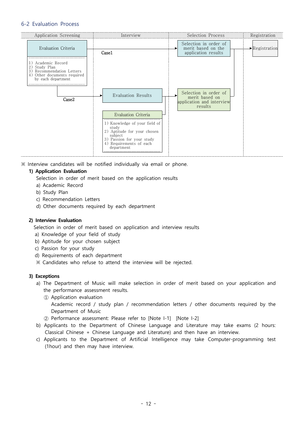#### 6-2 Evaluation Process



※ Interview candidates will be notified individually via email or phone.

#### **1) Application Evaluation**

Selection in order of merit based on the application results

- a) Academic Record
- b) Study Plan
- c) Recommendation Letters
- d) Other documents required by each department

#### **2) Interview Evaluation**

Selection in order of merit based on application and interview results

- a) Knowledge of your field of study
- b) Aptitude for your chosen subject
- c) Passion for your study
- d) Requirements of each department
- ※ Candidates who refuse to attend the interview will be rejected.

#### **3) Exceptions**

- a) The Department of Music will make selection in order of merit based on your application and the performance assessment results.
	- ① Application evaluation Academic record / study plan / recommendation letters / other documents required by the Department of Music
	- ② Performance assessment: Please refer to [Note I-1] [Note I-2]
- b) Applicants to the Department of Chinese Language and Literature may take exams (2 hours: Classical Chinese + Chinese Language and Literature) and then have an interview.
- c) Applicants to the Department of Artificial Intelligence may take Computer-programming test (1hour) and then may have interview.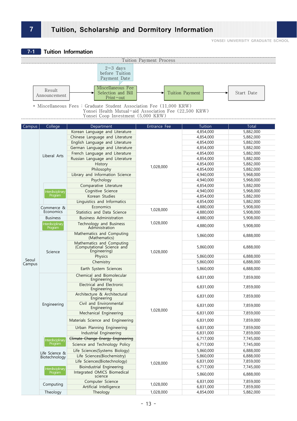YONSEI UNIVERSITY GRADUATE SCHOOL



Yonsei Coop Investment (5,000 KRW)

| Campus          | College                             | Department                                                              | Entrance Fee | Tuition   | Total     |
|-----------------|-------------------------------------|-------------------------------------------------------------------------|--------------|-----------|-----------|
|                 |                                     | Korean Language and Literature                                          |              | 4,854,000 | 5,882,000 |
|                 |                                     | Chinese Language and Literature                                         |              | 4,854,000 | 5,882,000 |
|                 |                                     | English Language and Literature                                         |              | 4,854,000 | 5,882,000 |
|                 |                                     | German Language and Literature                                          |              | 4,854,000 | 5,882,000 |
|                 |                                     | French Language and Literature                                          |              | 4,854,000 | 5,882,000 |
|                 | Liberal Arts                        | Russian Language and Literature                                         |              | 4,854,000 | 5,882,000 |
|                 |                                     | History                                                                 |              | 4,854,000 | 5,882,000 |
|                 |                                     | Philosophy                                                              | 1,028,000    | 4,854,000 | 5,882,000 |
|                 |                                     | Library and Information Science                                         |              | 4,940,000 | 5,968,000 |
|                 |                                     | Psychology                                                              |              | 4,940,000 | 5,968,000 |
|                 |                                     | Comparative Literature                                                  |              | 4,854,000 | 5,882,000 |
|                 | Interdisciplinary                   | Cognitive Science                                                       |              | 4,940,000 | 5,968,000 |
|                 | Program                             | Korean Studies                                                          |              | 4,854,000 | 5,882,000 |
|                 |                                     | Linguistics and Informatics                                             |              | 4,854,000 | 5,882,000 |
|                 | Commerce &                          | Economics                                                               |              | 4,880,000 | 5,908,000 |
|                 | Economics                           | Statistics and Data Science                                             | 1,028,000    | 4,880,000 | 5,908,000 |
|                 | <b>Business</b>                     | <b>Business Administration</b>                                          |              | 4,880,000 | 5,908,000 |
|                 | <b>Interdisciplinary</b><br>Program | Technology and Business<br>Administration                               | 1,028,000    | 4,880,000 | 5,908,000 |
|                 |                                     | Mathematics and Computing                                               |              | 5,860,000 | 6,888,000 |
|                 | Science                             | (Mathematics)                                                           |              |           |           |
|                 |                                     | Mathematics and Computing<br>(Computational Science and<br>Engineering) | 1,028,000    | 5,860,000 | 6,888,000 |
|                 |                                     | Physics                                                                 |              | 5,860,000 | 6,888,000 |
| Seoul<br>Campus |                                     | Chemistry                                                               |              | 5,860,000 | 6,888,000 |
|                 |                                     | Earth System Sciences                                                   |              | 5,860,000 | 6,888,000 |
|                 |                                     | Chemical and Biomolecular<br>Engineering                                |              | 6,831,000 | 7,859,000 |
|                 |                                     | Electrical and Electronic<br>Engineering                                |              | 6,831,000 | 7,859,000 |
|                 |                                     | Architecture & Architectural<br>Engineering                             |              | 6,831,000 | 7,859,000 |
|                 | Engineering                         | Civil and Environmental<br>Engineering                                  |              | 6,831,000 | 7,859,000 |
|                 |                                     | Mechanical Engineering                                                  | 1,028,000    | 6,831,000 | 7,859,000 |
|                 |                                     | Materials Science and Engineering                                       |              | 6,831,000 | 7,859,000 |
|                 |                                     | Urban Planning Engineering                                              |              | 6,831,000 | 7,859,000 |
|                 |                                     | Industrial Engineering                                                  |              | 6,831,000 | 7,859,000 |
|                 | Interdisciplinary                   | Climate Change Energy Engineering                                       |              | 6,717,000 | 7,745,000 |
|                 | Program                             | Science and Technology Policy                                           |              | 6,717,000 | 7,745,000 |
|                 |                                     | Life Sciences(Systems Biology)                                          |              | 5,860,000 | 6,888,000 |
|                 | Life Science &<br>Biotechnology     | Life Sciences(Biochemistry)                                             |              | 5,860,000 | 6,888,000 |
|                 |                                     | Life Sciences(Biotechnology)                                            |              | 6,831,000 | 7,859,000 |
|                 |                                     | <b>Bioindustrial Engineering</b>                                        | 1,028,000    | 6,717,000 | 7,745,000 |
|                 | Interdisciplinary<br>Program        | Integrated OMICS Biomedical                                             |              |           |           |
|                 |                                     | science                                                                 |              | 5,860,000 | 6,888,000 |
|                 | Computing                           | Computer Science                                                        | 1,028,000    | 6,831,000 | 7,859,000 |
|                 |                                     | Artificial Intelligence                                                 |              | 6,831,000 | 7,859,000 |
|                 | Theology                            | Theology                                                                | 1,028,000    | 4,854,000 | 5,882,000 |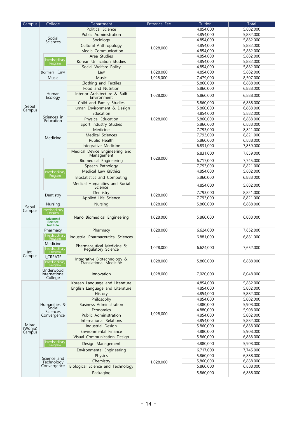| Campus           | College                      | Department                                            | Entrance Fee | Tuition   | <b>Total</b> |
|------------------|------------------------------|-------------------------------------------------------|--------------|-----------|--------------|
|                  |                              | Political Science                                     |              | 4,854,000 | 5,882,000    |
|                  |                              | Public Administration                                 |              | 4,854,000 | 5,882,000    |
|                  | Social                       | Sociology                                             |              | 4,854,000 | 5,882,000    |
|                  | Sciences                     |                                                       |              |           |              |
|                  |                              | Cultural Anthropology                                 | 1,028,000    | 4,854,000 | 5,882,000    |
|                  |                              | Media Communication                                   |              | 4,854,000 | 5,882,000    |
|                  | <b>Interdisciplinary</b>     | Area Studies                                          |              | 4,854,000 | 5,882,000    |
|                  | Program                      | Korean Unification Studies                            |              | 4,854,000 | 5,882,000    |
|                  |                              | Social Welfare Policy                                 |              | 4,854,000 | 5,882,000    |
|                  | (former) Law                 | Law                                                   | 1,028,000    | 4,854,000 | 5,882,000    |
|                  | Music                        | Music                                                 | 1,028,000    | 7,479,000 | 8,507,000    |
|                  |                              | Clothing and Textiles                                 |              | 5,860,000 | 6,888,000    |
|                  |                              | Food and Nutrition                                    |              | 5,860,000 | 6,888,000    |
|                  | Human                        | Interior Architecture & Built                         |              |           |              |
|                  | Ecology                      | Environment                                           | 1,028,000    | 5,860,000 | 6,888,000    |
|                  |                              | Child and Family Studies                              |              | 5,860,000 | 6,888,000    |
| Seoul            |                              | Human Environment & Design                            |              | 5,860,000 | 6,888,000    |
| Campus           |                              | Education                                             |              | 4,854,000 | 5,882,000    |
|                  | Sciences in                  | Physical Education                                    | 1,028,000    | 5,860,000 | 6,888,000    |
|                  | Education                    | Sport Industry Studies                                |              | 5,860,000 | 6,888,000    |
|                  |                              | Medicine                                              |              | 7,793,000 | 8,821,000    |
|                  |                              |                                                       |              |           |              |
|                  | Medicine                     | Medical Sciences                                      |              | 7,793,000 | 8,821,000    |
|                  |                              | Public Health                                         |              | 5,860,000 | 6,888,000    |
|                  |                              | Integrative Medicine                                  |              | 6,831,000 | 7,859,000    |
|                  |                              | Medical Device Engineering and                        |              | 6,831,000 | 7,859,000    |
|                  |                              | Management                                            | 1,028,000    |           |              |
|                  |                              | <b>Biomedical Engineering</b>                         |              | 6,717,000 | 7,745,000    |
|                  |                              | Speech Pathology                                      |              | 7,793,000 | 8,821,000    |
|                  | <b>Interdisciplinary</b>     | Medical Law &Ethics                                   |              | 4,854,000 | 5,882,000    |
|                  | Program                      | <b>Biostatistics and Computing</b>                    |              | 5,860,000 | 6,888,000    |
|                  |                              | Medical Humanities and Social                         |              |           |              |
|                  |                              | Science                                               |              | 4,854,000 | 5,882,000    |
|                  |                              | Dentistry                                             |              | 7,793,000 | 8,821,000    |
|                  | Dentistry                    | Applied Life Science                                  | 1,028,000    | 7,793,000 | 8,821,000    |
|                  | Nursing                      | Nursing                                               | 1,028,000    | 5,860,000 | 6,888,000    |
| Seoul            |                              |                                                       |              |           |              |
| Campus           | Interdisciplinary<br>Program |                                                       |              |           |              |
|                  | Advanced                     | Nano Biomedical Engineering                           | 1,028,000    | 5,860,000 | 6,888,000    |
|                  | Science                      |                                                       |              |           |              |
|                  | Institute                    |                                                       |              |           |              |
|                  | Pharmacy                     | Pharmacy                                              | 1,028,000    | 6,624,000 | 7,652,000    |
|                  | Interdisciplinary<br>Program | Industrial Pharmaceutical Sciences                    |              | 6,881,000 | 6,881,000    |
|                  | Medicine                     |                                                       |              |           |              |
|                  | Interdisciplinary            | Pharmaceutical Medicine &                             | 1,028,000    | 6,624,000 | 7,652,000    |
| Int'l            | Program                      | Regulatory Science                                    |              |           |              |
| Campus           | <b>I CREATE</b>              |                                                       |              |           |              |
|                  | Interdisciplinary<br>Program | Integrative Biotechnology &<br>Translational Medicine | 1,028,000    | 5,860,000 | 6,888,000    |
|                  |                              |                                                       |              |           |              |
|                  | Underwood                    | Innovation                                            | 1,028,000    | 7,020,000 | 8,048,000    |
|                  | International<br>College     |                                                       |              |           |              |
|                  |                              | Korean Language and Literature                        |              | 4,854,000 | 5,882,000    |
|                  |                              | English Language and Literature                       |              | 4,854,000 | 5,882,000    |
|                  |                              | History                                               |              | 4,854,000 | 5,882,000    |
|                  |                              |                                                       |              |           |              |
|                  |                              | Philosophy                                            |              | 4,854,000 | 5,882,000    |
|                  | Humanities &<br>Social       | <b>Business Administration</b>                        |              | 4,880,000 | 5,908,000    |
|                  | Sciences                     | Economics                                             |              | 4,880,000 | 5,908,000    |
|                  | Convergence                  | Public Administration                                 | 1,028,000    | 4,854,000 | 5,882,000    |
|                  |                              | International Relations                               |              | 4,854,000 | 5,882,000    |
| Mirae<br>(Wonju) |                              | <b>Industrial Design</b>                              |              | 5,860,000 | 6,888,000    |
| Campus           |                              | Environmental Finance                                 |              | 4,880,000 | 5,908,000    |
|                  |                              | Visual Communication Design                           |              | 5,860,000 | 6,888,000    |
|                  | Interdisciplinary            |                                                       |              |           |              |
|                  | Program                      | Design Management                                     |              | 4,880,000 | 5,908,000    |
|                  |                              | Environmental Engineering                             |              | 6,717,000 | 7,745,000    |
|                  |                              | Physics                                               |              | 5,860,000 | 6,888,000    |
|                  | Science and<br>Technology    | Chemistry                                             | 1,028,000    | 5,860,000 | 6,888,000    |
|                  | Convergence                  | <b>Biological Science and Technology</b>              |              | 5,860,000 | 6,888,000    |
|                  |                              | Packaging                                             |              | 5,860,000 | 6,888,000    |
|                  |                              |                                                       |              |           |              |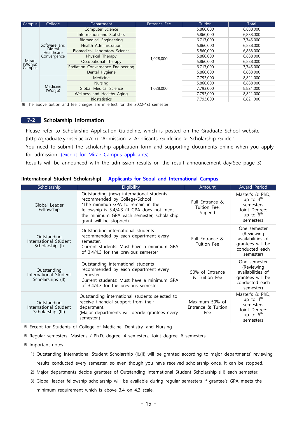| Campus            | <b>College</b>               | Department                           | Entrance Fee | Tuition   | Total     |
|-------------------|------------------------------|--------------------------------------|--------------|-----------|-----------|
|                   |                              | Computer Science                     |              | 5,860,000 | 6,888,000 |
|                   |                              | Information and Statistics           |              | 5,860,000 | 6,888,000 |
|                   |                              | Biomedical Engineering               |              | 6,717,000 | 7,745,000 |
|                   | Software and                 | Health Administration                |              | 5,860,000 | 6,888,000 |
|                   | Digital<br><b>Healthcare</b> | <b>Biomedical Laboratory Science</b> | 1,028,000    | 5,860,000 | 6,888,000 |
|                   | Convergence                  | Physical Therapy                     |              | 5,860,000 | 6,888,000 |
| Mirae             |                              | Occupational Therapy                 |              | 5,860,000 | 6,888,000 |
| (Wonju)<br>Campus |                              | Radiation Convergence Engineering    |              | 6,717,000 | 7,745,000 |
|                   |                              | Dental Hygiene                       |              | 5,860,000 | 6,888,000 |
|                   |                              | Medicine                             |              | 7,793,000 | 8,821,000 |
|                   |                              | <b>Nursing</b>                       |              | 5,860,000 | 6,888,000 |
|                   | Medicine<br>(Wonju)          | Global Medical Science               | 1,028,000    | 7,793,000 | 8,821,000 |
|                   |                              | Wellness and Healthy Aging           |              | 7,793,000 | 8,821,000 |
|                   |                              | <b>Biostatistics</b>                 |              | 7,793,000 | 8,821,000 |

※ The above tuition and fee charges are in effect for the 2022-1st semester

#### **7-2 Scholarship Information**

- Please refer to Scholarship Application Guideline, which is posted on the Graduate School website (http://graduate.yonsei.ac.kr/en) "Admission > Applicants Guideline > Scholarship Guide."
- You need to submit the scholarship application form and supporting documents online when you apply for admission. (except for Mirae Campus applicants)
- Results will be announced with the admission results on the result announcement day(See page 3).

### **[International Student Scholarship] - Applicants for Seoul and International Campus**

| Scholarship                                               | Eligibility                                                                                                                                                                                                                           | Amount                                      | Award Period                                                                                        |
|-----------------------------------------------------------|---------------------------------------------------------------------------------------------------------------------------------------------------------------------------------------------------------------------------------------|---------------------------------------------|-----------------------------------------------------------------------------------------------------|
| Global Leader<br>Fellowship                               | Outstanding (new) international students<br>recommended by College/School<br>*The minimun GPA to remain in the<br>fellowship is 3.4/4.3 (If GPA does not meet<br>the minimum GPA each semester, scholarship<br>grant will be stopped) | Full Entrance &<br>Tuition Fee,<br>Stipend  | Master's & PhD;<br>up to $4th$<br>semesters<br>Joint Degree:<br>up to $6th$<br>semesters            |
| Outstanding<br>International Student<br>Scholarship (I)   | Outstanding international students<br>recommended by each department every<br>semester.<br>Current students: Must have a minimum GPA<br>of 3.4/4.3 for the previous semester                                                          | Full Entrance &<br>Tuition Fee              | One semester<br>(Reviewing<br>availabilities of<br>grantees will be<br>conducted each<br>semester)  |
| Outstanding<br>International Student<br>Scholarships (II) | Outstanding international students<br>recommended by each department every<br>semester.<br>Current students: Must have a minimum GPA<br>of 3.4/4.3 for the previous semester                                                          | 50% of Entrance<br>& Tuition Fee            | One semester<br>(Reviewing)<br>availabilities of<br>grantees will be<br>conducted each<br>semester) |
| Outstanding<br>International Student<br>Scholarship (III) | Outstanding international students selected to<br>receive financial support from their<br>department.<br>(Major departments will decide grantees every<br>semester.)                                                                  | Maximum 50% of<br>Entrance & Tuition<br>Fee | Master's & PhD;<br>up to $4^{th}$<br>semesters<br>Joint Degree:<br>up to $6th$<br>semesters         |

※ Except for Students of College of Medicine, Dentistry, and Nursing

※ Regular semesters: Master's / Ph.D. degree: 4 semesters, Joint degree: 6 semesters

- ※ Important notes
	- 1) Outstanding International Student Scholarship (I),(II) will be granted according to major departments' reviewing results conducted every semester, so even though you have received scholarship once, it can be stopped.
	- 2) Major departments decide grantees of Outstanding International Student Scholarship (III) each semester.
	- 3) Global leader fellowship scholarship will be available during regular semesters if grantee's GPA meets the minimum requirement which is above 3.4 on 4.3 scale.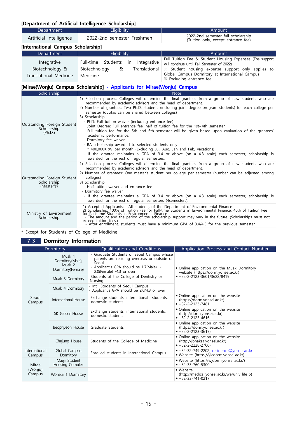#### **[Department of Artificial Intelligence Scholarship]**

| Department                                               | Eligibility                                                                                 | Amount                                                                                                                                                                                                                                     |  |  |  |  |
|----------------------------------------------------------|---------------------------------------------------------------------------------------------|--------------------------------------------------------------------------------------------------------------------------------------------------------------------------------------------------------------------------------------------|--|--|--|--|
| Artificial Intelligence                                  | 2022-2nd semester Freshmen                                                                  | 2022-2nd semester full scholarship<br>(Tuition only, except entrance fee)                                                                                                                                                                  |  |  |  |  |
| [International Campus Scholarship]                       |                                                                                             |                                                                                                                                                                                                                                            |  |  |  |  |
| Department                                               | Eligibility                                                                                 | Amount                                                                                                                                                                                                                                     |  |  |  |  |
| Integrative<br>Biotechnology &<br>Translational Medicine | Full-time Students<br>Integrative<br>-in<br>Translational<br>Biotechnology<br>&<br>Medicine | Full Tuition Fee & Student Housing Expenses (The support<br>will continue until Fall Semester of 2022)<br>* Student housing expense support only applies to<br>Global Campus Dormitory at International Campus<br>* Excluding entrance fee |  |  |  |  |

#### **[Mirae(Wonju) Campus Scholarship] - Applicants for Mirae(Wonju) Campus**

| Scholarship                                              | <b>Note</b>                                                                                                                                                                                                                                                                                                                                                                                                                                                                                                                                                                                                                                                                                                                                                                                                                                                                                                                             |
|----------------------------------------------------------|-----------------------------------------------------------------------------------------------------------------------------------------------------------------------------------------------------------------------------------------------------------------------------------------------------------------------------------------------------------------------------------------------------------------------------------------------------------------------------------------------------------------------------------------------------------------------------------------------------------------------------------------------------------------------------------------------------------------------------------------------------------------------------------------------------------------------------------------------------------------------------------------------------------------------------------------|
| Outstanding Foreign Student<br>Scholarship<br>(Ph.D.)    | 1) Selection process: Colleges will determine the final grantees from a group of new students who are<br>recommended by academic advisors and the head of department.<br>2) Number of grantees: Two Ph.D. students (including joint degree program students) for each college per<br>semester (quotas can be shared between colleges)<br>3) Scholarship:<br>- PhD: Full tuition waiver (including entrance fee)<br>Joint Degree: Full entrance fee, half of tuition fee for the 1st~4th semester<br>Full tuition fee for the 5th and 6th semester will be given based upon evaluation of the grantees'<br>academic performance.<br>- Dormitory fee waiver<br>- RA scholarship awarded to selected students only<br>* 400,000KRW per month (Excluding Jul, Aug, Jan and Feb, vacations)<br>- If the grantee maintains a GPA of 3.4 or above (on a 4.3 scale) each semester, scholarship is<br>awarded for the rest of regular semesters. |
| Outstanding Foreign Student<br>Scholarship<br>(Master's) | 1) Selection process: Colleges will determine the final grantees from a group of new students who are<br>recommended by academic advisors and the head of department.<br>2) Number of grantees: One master's student per college per semester (number can be adjusted among<br>colleges)<br>3) Scholarship:<br>- Half-tuition waiver and entrance fee<br>- Dormitory fee waiver<br>- If the grantee maintains a GPA of 3.4 or above (on a 4.3 scale) each semester, scholarship is<br>awarded for the rest of regular semesters (4 semesters).                                                                                                                                                                                                                                                                                                                                                                                          |
| Ministry of Environment<br>Scholarship                   | 1) Accepted Applicants: All students of the Department of Environmental Finance<br>2) Scholarship: 100% of Tuition Fee for Full-time Students in Environmental Finance. 40% of Tuition Fee<br>for Part-time Students in Environmenta<br>- The amount and the period of the scholarship support may vary in the future. (Scholarships must not<br>exceed tuition fees.)<br>- After enrollment, students must have a minimum GPA of 3.4/4.3 for the previous semester                                                                                                                                                                                                                                                                                                                                                                                                                                                                     |

\* Except for Students of College of Medicine

#### **7-3 Dormitory Information**

| Dormitory                  |                                                           | Qualification and Conditions                                                                                                                                                  | Application Process and Contact Number                                                                                 |  |  |  |
|----------------------------|-----------------------------------------------------------|-------------------------------------------------------------------------------------------------------------------------------------------------------------------------------|------------------------------------------------------------------------------------------------------------------------|--|--|--|
| Seoul<br>Campus            | Muak 1<br>Dormitory(Male),<br>Muak 2<br>Dormitory(Female) | - Graduate Students of Seoul Campus whose<br>parents are residing overseas or outside of<br>Seoul<br>- Applicant's GPA should be 1.7(Male) $\sim$<br>2.0(Female) /4.3 or over | • Online application on the Muak Dormitory<br>website (https://dorm.yonsei.ac.kr)<br>$+82 - 2 - 2123 - 3601/3622/8419$ |  |  |  |
|                            | Muak 3 Dormitory                                          | Students of the College of Dentistry or<br>Nursing                                                                                                                            |                                                                                                                        |  |  |  |
|                            | Muak 4 Dormitory                                          | - Int'l Students of Seoul Campus<br>- Applicant's GPA should be 2.0/4.3 or over                                                                                               |                                                                                                                        |  |  |  |
|                            | International House                                       | Exchange students, international students,<br>domestic students                                                                                                               | • Online application on the website<br>(https://dorm.yonsei.ac.kr)<br>$+82-2-2123-7481$                                |  |  |  |
|                            | SK Global House                                           | Exchange students, international students,<br>domestic students                                                                                                               | • Online application on the website<br>(http://dorm.yonsei.ac.kr)<br>$+82 - 2 - 2123 - 4616$                           |  |  |  |
|                            | Beophyeon House                                           | Graduate Students                                                                                                                                                             | • Online application on the website<br>(https://dorm.yonsei.ac.kr)<br>$+82-2-2123-3617$                                |  |  |  |
|                            | Chejung House                                             | Students of the College of Medicine                                                                                                                                           | • Online application on the website<br>(http://jbhaksa.yonsei.ac.kr)<br>$+82 - 2 - 2228 - 2700$                        |  |  |  |
| International<br>Campus    | Global Campus<br>Dormitory                                | Enrolled students in International Campus                                                                                                                                     | ► +82-32-749-2202, residence@yonsei.ac.kr<br>▶ Website (https://yicdorm.yonsei.ac.kr)                                  |  |  |  |
| Mirae<br>(Wonju)<br>Campus | Maeji Student<br>Housing Complex                          |                                                                                                                                                                               | ▶ Website (https://wjdorm.yonsei.ac.kr/)<br>$+82-33-760-5300$                                                          |  |  |  |
|                            | Woneui 1 Dormitory                                        |                                                                                                                                                                               | • Website<br>(http://medical.yonsei.ac.kr/we/univ_life_5)<br>$+82-33-741-0217$                                         |  |  |  |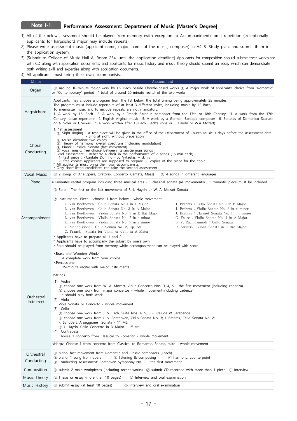#### **Note I-1 Performance Assessment: Department of Music [Master's Degree]**

- 1) All of the below assessment should be played from memory (with exception to Accompaniment); omit repetition (exceptionally applicants for harpsichord major may include repeats)
- 2) Please write assessment music (applicant name, major, name of the music, composer) in A4 & Study plan, and submit them in the application system.
- 3) [Submit to College of Music Hall A, Room 234, until the application deadline] Applicants for composition should submit their workpiece with CD along with application documents; and applicants for music history and music theory should submit an essay which can demonstrate both writing skill and expertise along with application documents.
- 4) All applicants must bring their own accompanists.

| Major                    | Assignment                                                                                                                                                                                                                                                                                                                                                                                                                                                                                                                                                                                                                                                                                                                                                                                                                                                                                                                                                                                        |  |  |  |  |  |
|--------------------------|---------------------------------------------------------------------------------------------------------------------------------------------------------------------------------------------------------------------------------------------------------------------------------------------------------------------------------------------------------------------------------------------------------------------------------------------------------------------------------------------------------------------------------------------------------------------------------------------------------------------------------------------------------------------------------------------------------------------------------------------------------------------------------------------------------------------------------------------------------------------------------------------------------------------------------------------------------------------------------------------------|--|--|--|--|--|
| Organ                    | 1) Around 10-minute major work by J.S. Bach beside Chorale-based works 2) A major work of applicant's choice from "Romantic"<br>or "Contemporary" period * total of around 20-minute recital of the two works                                                                                                                                                                                                                                                                                                                                                                                                                                                                                                                                                                                                                                                                                                                                                                                     |  |  |  |  |  |
| Harpsichord              | Applicants may choose a program from the list below, the total timing being approximately 25 minutes.<br>The program must include repertoire of at least 3 different styles, including music by J.S Bach<br>To memorize music and to include repeats are not mandatory.<br>1. A work by J.S. Bach 2. A work by a French Baroque composer from the 17th or 18th Century 3. A work from the 17th<br>Century Italian repertoire 4. English virginal music 5. A work by a German Baroque composer 6. Sonatas of Domenico Scarlatti<br>or A. Soler or C.Seixas 7. A work written after J.S.Bach (Bach's sons or J. Haydn or W.A Mozart)                                                                                                                                                                                                                                                                                                                                                                |  |  |  |  |  |
| Choral<br>Conducting     | 1. 1st assessment<br>1 Sight-singing - A test piece will be given in the office of the Department of Church Music 3 days before the assessment date.<br>- Sing at sight, without preparation<br>2 Music dictation: two voices in the line of the Music dictation)<br>4) Piano: Classical Sonata (fast movement)<br>© vocal music: free choice between Italian/German songs<br>2. 2nd assessment – Rehearse a choir in the performance of 2 songs (15-min each)<br>1) test piece : < Cantate Domino> by Vytautas Miskinis<br>2) free choice: Applicants are supposed to prepare 30 copies of the piece for the choir.<br>* All applicants must bring their own accompanists.<br>* Only short-listed candidates can take the second assessment.                                                                                                                                                                                                                                                     |  |  |  |  |  |
| Vocal Music              | 1. 2 songs of Aria (Opera, Oratorio, Concerto, Cantata, Mass)<br>2 4 songs in different languages                                                                                                                                                                                                                                                                                                                                                                                                                                                                                                                                                                                                                                                                                                                                                                                                                                                                                                 |  |  |  |  |  |
| Piano                    | 40-minutes recital program including three musical eras - 1 classical sonata (all movements), 1 romantic piece must be included                                                                                                                                                                                                                                                                                                                                                                                                                                                                                                                                                                                                                                                                                                                                                                                                                                                                   |  |  |  |  |  |
| Accompaniment            | 11 Solo – The first or the last movement of F. J. Haydn or W. A. Mozart Sonata<br>2 Instrumental Piece - choose 1 from below - whole movement<br>L. van Beethoven : Cello Sonata No.1 in F Major<br>J. Brahms : Cello Sonata No.2 in F Major<br>L. van Beethoven : Cello Sonata No. 3 in A Major<br>J. Brahms : Violin Sonata No. 3 in d minor<br>L. van Beethoven : Violin Sonata No. 3 in E flat Major<br>J. Brahms : Clarinet Sonata No. 1 in f minor<br>L. van Beethoven : Violin Sonata No. 7 in c minor,<br>G. Fauré : Violin Sonata No. 1 in A Major<br>L. van Beethoven : Violin Sonata No. 9 in a minor<br>S. V. Rachmaninoff: Cello Sonata<br>F. Mendelssohn: Cello Sonata No. 2, Op. 58<br>R. Strauss: Violin Sonata in E flat Major<br>C. Franck: Sonata for Violin or Cello in A Major<br>* Applicants have to prepare all 1 and 2.<br>* Applicants have to accompany the soloist by one's own.<br>* Solo should be played from memory while accompaniment can be played with score. |  |  |  |  |  |
|                          | <brass and="" wind="" wooden=""><br/>A complete work from your choice<br/><percussion><br/>15-minute recital with major instruments</percussion></brass>                                                                                                                                                                                                                                                                                                                                                                                                                                                                                                                                                                                                                                                                                                                                                                                                                                          |  |  |  |  |  |
| Orchestral<br>Instrument | <string><br/><math>(1)</math> Violin<br/>1) choose one work from W. A. Mozart, Violin Concerto Nos. 3, 4, 5 - the first movement (including cadenza)<br/>(2) choose one work from major concertos - whole movement (including cadenza)<br/>* should play both work<br/><math>(2)</math> Viola<br/>Viola Sonata or Concerto - whole movement<br/><math>(3)</math> Cello<br/>1) choose one work from J. S. Bach, Suite Nos. 4, 5, 6 - Prelude &amp; Sarabande<br/>(2) choose one work from L. v. Beethoven, Cello Sonata No. 3; J. Brahms, Cello Sonata No. 2;<br/>F. Schubert, Arpeggione Sonata - 1<sup>st</sup> Mt.<br/>3) J. Haydn, Cello Concerto in D Major - 1<sup>st</sup> Mt.<br/>(4) Contrabass<br/>Choose 1 concerto from Classical to Romantic - whole movement<br/><harp> Choose 1 from concerto from Classical to Romantic, Sonata, suite - whole movement</harp></string>                                                                                                            |  |  |  |  |  |
|                          |                                                                                                                                                                                                                                                                                                                                                                                                                                                                                                                                                                                                                                                                                                                                                                                                                                                                                                                                                                                                   |  |  |  |  |  |
| Orchestral<br>Conducting | 10 piano: fast movement from Romantic and Classic composers (1each)<br>2 piano: 1 song from opera<br>3 listening & composing<br>4 harmony, counterpoint<br>5 Conducting Assessment: Beethoven Symphony No. 2 - the first movement                                                                                                                                                                                                                                                                                                                                                                                                                                                                                                                                                                                                                                                                                                                                                                 |  |  |  |  |  |
| Composition              | 1) submit 2 main workpieces (including recent works) 2 submit CD recorded with more than 1 piece 3 Interview                                                                                                                                                                                                                                                                                                                                                                                                                                                                                                                                                                                                                                                                                                                                                                                                                                                                                      |  |  |  |  |  |
| Music Theory             | 10 Thesis or essay (more than 10 pages)<br>(2) Interview and oral examination                                                                                                                                                                                                                                                                                                                                                                                                                                                                                                                                                                                                                                                                                                                                                                                                                                                                                                                     |  |  |  |  |  |
| Music History            | 2 interview and oral examination<br>10 submit essay (at least 10 pages)                                                                                                                                                                                                                                                                                                                                                                                                                                                                                                                                                                                                                                                                                                                                                                                                                                                                                                                           |  |  |  |  |  |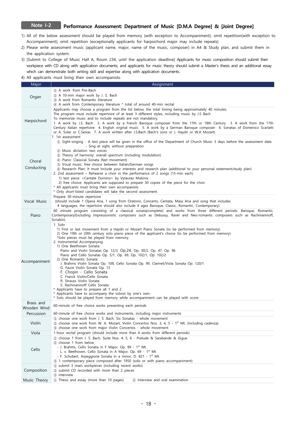#### **Note I-2 Performance Assessment: Department of Music [D.M.A Degree] & [Joint Degree]**

- 1) All of the below assessment should be played from memory (with exception to Accompaniment); omit repetition(with exception to Accompaniment); omit repetition (exceptionally applicants for harpsichord major may include repeats)
- 2) Please write assessment music (applicant name, major, name of the music, composer) in A4 & Study plan, and submit them in the application system.
- 3) [Submit to College of Music Hall A, Room 234, until the application deadline] Applicants for music composition should submit their workpiece with CD along with application documents; and applicants for music theory should submit a Master's thesis and an additional essay which can demonstrate both writing skill and expertise along with application documents.

#### 4) All applicants must bring their own accompanists.

| Major         | Assignment                                                                                                                                                                                                                                                                                                                                              |
|---------------|---------------------------------------------------------------------------------------------------------------------------------------------------------------------------------------------------------------------------------------------------------------------------------------------------------------------------------------------------------|
|               | 1 A work from Pre-Bach<br>2 A 10-min major work by J. S. Bach                                                                                                                                                                                                                                                                                           |
| Organ         | 3 A work from Romantic literature                                                                                                                                                                                                                                                                                                                       |
|               | 4) A work from Contemporary literature * total of around 40-min recital                                                                                                                                                                                                                                                                                 |
|               | Applicants may choose a program from the list below, the total timing being approximately 40 minutes<br>The program must include repertoire of at least 3 different styles, including music by J.S Bach                                                                                                                                                 |
|               | To memorize music and to include repeats are not mandatory.                                                                                                                                                                                                                                                                                             |
| Harpsichord   | 1. A work by J.S. Bach 2. A work by a French Baroque composer from the 17th or 18th Century 3. A work from the 17th<br>Century Italian repertoire 4. English virginal music 5. A work by a German Baroque composer 6. Sonatas of Domenico Scarlatti<br>or A. Soler or C.Seixas 7. A work written after J.S.Bach (Bach's sons or J. Haydn or W.A Mozart) |
|               | 1. 1st assessment<br>1) Sight-singing - A test piece will be given in the office of the Department of Church Music 3 days before the assessment date.                                                                                                                                                                                                   |
|               | - Sing at sight, without preparation                                                                                                                                                                                                                                                                                                                    |
|               | 2) Music dictation: two voices                                                                                                                                                                                                                                                                                                                          |
|               | 3 Theory of harmony: overall spectrum (including modulation)<br>4) Piano: Classical Sonata (fast movement)                                                                                                                                                                                                                                              |
| Choral        | 5 Vocal music: free choice between Italian/German songs                                                                                                                                                                                                                                                                                                 |
| Conducting    | 6 Research Plan: It must Include your interests and research plan (additional to your personal statement/study plan)                                                                                                                                                                                                                                    |
|               | 2. 2nd assessment – Rehearse a choir in the performance of 2 songs (15-min each)<br>1) test piece: <cantate domino=""> by Vytautas Miskinis</cantate>                                                                                                                                                                                                   |
|               | 2) free choice: Applicants are supposed to prepare 30 copies of the piece for the choir.                                                                                                                                                                                                                                                                |
|               | * All applicants must bring their own accompanists.                                                                                                                                                                                                                                                                                                     |
|               | * Only short-listed candidates will take the second assessment.<br>Prepare 30-minute repertoire                                                                                                                                                                                                                                                         |
| Vocal Music   | (should include 1 Opera Aria, 1 song from Oratorio, Concerto, Cantata, Mass Aria and song that includes                                                                                                                                                                                                                                                 |
|               | 4 languages; the repertoire should also include 4 ages Baroque, Classic, Romantic, Contemporary)<br>60 minute program consisting of a classical sonata(complete) and works from three different periods: Baroque, Romantic,                                                                                                                             |
| Piano         | Contemporary(Excluding Impressionistic composers such as Debussy, Ravel and Neo-romantic composers such as Rachmaninoff,                                                                                                                                                                                                                                |
|               | Scriabin)                                                                                                                                                                                                                                                                                                                                               |
|               | 1. Solo<br>1) First or last movement from a Haydn or Mozart Piano Sonata (to be performed from memory).                                                                                                                                                                                                                                                 |
|               | 2) One 19th or 20th century solo piano piece of the applicant's choice (to be performed from memory)                                                                                                                                                                                                                                                    |
|               | *Solo pieces must be played from memory.<br>2. Instrumental Accompanying                                                                                                                                                                                                                                                                                |
|               | 1) One Beethoven Sonata:                                                                                                                                                                                                                                                                                                                                |
|               | Piano and Violin Sonatas Op. 12/3, Op.24, Op. 30/2, Op. 47, Op. 96                                                                                                                                                                                                                                                                                      |
|               | Piano and Cello Sonatas Op. 5/1, Op. 69, Op. 102/1, Op. 102/2<br>2) One Romantic Sonata:                                                                                                                                                                                                                                                                |
| Accompaniment | J. Brahms Violin Sonata Op. 108, Cello Sonata Op. 99, Clarinet/Viola Sonata Op. 120/1                                                                                                                                                                                                                                                                   |
|               | G. Faure Violin Sonata Op. 13<br>F. Chopin - Cello Sonata                                                                                                                                                                                                                                                                                               |
|               | C. Franck Violin/Cello Sonata                                                                                                                                                                                                                                                                                                                           |
|               | R. Strauss Violin Sonata<br>S. Rachmaninoff Cello Sonata                                                                                                                                                                                                                                                                                                |
|               | * Applicants have to prepare all 1 and 2.                                                                                                                                                                                                                                                                                                               |
|               | * Applicants have to accompany the soloist by one's own.<br>* Solo should be played from memory while accompaniment can be played with score.                                                                                                                                                                                                           |
| Brass and     | 60-minute of free choice works presenting each periods                                                                                                                                                                                                                                                                                                  |
| Wooden Wind   |                                                                                                                                                                                                                                                                                                                                                         |
| Percussion    | 60-minute of free choice works and instruments, including major instruments<br>1) choose one work from J. S .Bach, Six Sonatas - whole movement                                                                                                                                                                                                         |
| Violin        | 2) choose one work from W. A. Mozart, Violin Concertos Nos. 3, 4, 5 - 1 <sup>st</sup> Mt. (including cadenza)                                                                                                                                                                                                                                           |
|               | 3 choose one work from major Violin Concertos - whole movement                                                                                                                                                                                                                                                                                          |
| Viola         | 1-hour recital program (should include more than 4 works from different periods)                                                                                                                                                                                                                                                                        |
|               | 1) choose 1 from J. S. Bach, Suite Nos. 4, 5, 6 - Prelude & Sarabande & Gigue<br>2 choose 1 from below                                                                                                                                                                                                                                                  |
| Cello         | - J. Brahms, Cello Sonata in F Major, Op. 99 - 1 <sup>st</sup> Mt.                                                                                                                                                                                                                                                                                      |
|               | - L. v. Beethoven, Cello Sonata in A Major, Op. 69 - 1 <sup>st</sup> Mt.<br>- F. Schubert, Arpeggione Sonata in a minor, D. 821 - $1st$ Mt.                                                                                                                                                                                                             |
|               | 3 1 contemporary piece composed after 1950 (solo or with piano accompaniment)                                                                                                                                                                                                                                                                           |
|               | 1 submit 3 main workpieces (including recent works)                                                                                                                                                                                                                                                                                                     |
| Composition   | 2 submit CD recorded with more than 2 pieces<br>3 Interview                                                                                                                                                                                                                                                                                             |
| Music Theory  | 10 Thesis and essay (more than 10 pages)<br>2 Interview and oral examination                                                                                                                                                                                                                                                                            |
|               |                                                                                                                                                                                                                                                                                                                                                         |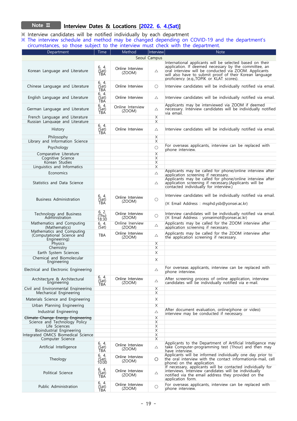### **Note Ⅱ Interview Dates & Locations [2022. 6. 4.(Sat)]**

※ Interview candidates will be notified individually by each department

※ The interview schedule and method may be changed depending on COVID-19 and the department's circumstances, so those subject to the interview must check with the department.

| Department                                                              | Time                     | Method                     | Interview                           | <b>Note</b>                                                                                                                                                                                                                                                                       |
|-------------------------------------------------------------------------|--------------------------|----------------------------|-------------------------------------|-----------------------------------------------------------------------------------------------------------------------------------------------------------------------------------------------------------------------------------------------------------------------------------|
|                                                                         |                          |                            | Seoul Campus                        |                                                                                                                                                                                                                                                                                   |
| Korean Language and Literature                                          | 6, 4.<br>(Sat)<br>TBA    | Online Interview<br>(ZOOM) | $\triangle$                         | International applicants will be selected based on their<br>application. If deemed necessary by the committee, an<br>oral interview will be conducted via ZOOM. Applicants<br>will also have to submit proof of their Korean language<br>proficiency (e.g.,TOPIK or KLAT scores). |
| Chinese Language and Literature                                         | 6. 4.<br>(Sat)<br>TBA    | Online Interview           | $\circ$                             | Interview candidates will be individually notified via email.                                                                                                                                                                                                                     |
| English Language and Literature                                         | 6. 4.<br>(Šat)<br>TBA    | Online Interview           | Δ                                   | Interview candidates will be individually notified via email.                                                                                                                                                                                                                     |
| German Language and Literature                                          | 6. 4.<br>(Sat)<br>TBA    | Online Interview<br>(ZOOM) | Δ                                   | Applicants may be interviewed via ZOOM if deemed<br>necessary. Interview candidates will be individually notified<br>lvia email.                                                                                                                                                  |
| French Language and Literature<br>Russian Language and Literature       |                          |                            | X<br>X                              |                                                                                                                                                                                                                                                                                   |
| History                                                                 | 6. 4.<br>(Sat)<br>TBA    | Online Interview           | Δ                                   | Interview candidates will be individually notified via email.                                                                                                                                                                                                                     |
| Philosophy                                                              |                          |                            | X                                   |                                                                                                                                                                                                                                                                                   |
| Library and Information Science                                         |                          |                            | X                                   |                                                                                                                                                                                                                                                                                   |
| Psychology                                                              |                          |                            | $\bigcirc$                          | For overseas applicants, interview can be replaced with<br>phone interview.                                                                                                                                                                                                       |
| Comparative Literature<br>Cognitive Science                             |                          |                            | $\overline{\mathsf{X}}$<br>$\times$ |                                                                                                                                                                                                                                                                                   |
| Korean Studies                                                          |                          |                            | X                                   |                                                                                                                                                                                                                                                                                   |
| Linguistics and Informatics                                             |                          |                            | $\times$                            |                                                                                                                                                                                                                                                                                   |
| Economics                                                               |                          |                            | Δ                                   | Applicants may be called for phone/online interview after                                                                                                                                                                                                                         |
| Statistics and Data Science                                             |                          |                            | Δ                                   | application screening if necessary.<br>Applicants may be called for phone/online interview after<br>application screening if necessary.(Applicants will be<br>contacted individually for interview.)                                                                              |
| <b>Business Administration</b>                                          | 6. 4.<br>(Sat)<br>TBA    | Online Interview<br>(ZOOM) | $\circ$                             | Interview candidates will be individually notified via email.<br>(※ Email Address : msphd.ysb@yonsei.ac.kr)                                                                                                                                                                       |
| Technology and Business<br>Administration                               | 6, 2.<br>(Thu)<br>18:30  | Online Interview<br>(ZOOM) | $\circ$                             | Interview candidates will be individually notified via email.<br>(※ Email Address : yonseimot@yonsei.ac.kr)                                                                                                                                                                       |
| Mathematics and Computing<br>(Mathematics)                              | 6. 4.<br>(Sat)           | Online Inerview<br>(ZOOM)  | Δ                                   | Applicants may be called for the ZOOM interview after<br>application screening if necessary.                                                                                                                                                                                      |
| Mathematics and Computing<br>(Computational Science and<br>Engineering) | <b>TBA</b>               | Online Interview<br>(ZOOM) | Δ                                   | Applicants may be called for the ZOOM interview after<br>the application screening if necessary.                                                                                                                                                                                  |
| Physics                                                                 |                          |                            | X                                   |                                                                                                                                                                                                                                                                                   |
| Chemistry                                                               |                          |                            | $\times$                            |                                                                                                                                                                                                                                                                                   |
| Earth System Sciences<br>Chemical and Biomolecular                      |                          |                            | X                                   |                                                                                                                                                                                                                                                                                   |
| Engineering                                                             |                          |                            | X                                   |                                                                                                                                                                                                                                                                                   |
| Electrical and Electronic Engineering                                   |                          |                            | Δ                                   | For overseas applicants, interview can be replaced with<br>phone interview.                                                                                                                                                                                                       |
| Architecture & Architectural<br>Engineering                             | 6.4.<br>(Sat)<br>TBA     | Online Interview<br>(ZOOM) | Δ                                   | After screening process of online application, interview<br>candidates will be individually notified via e-mail.                                                                                                                                                                  |
| Civil and Environmental Engineering<br>Mechanical Engineering           |                          |                            | X<br>X                              |                                                                                                                                                                                                                                                                                   |
| Materials Science and Engineering                                       |                          |                            | X                                   |                                                                                                                                                                                                                                                                                   |
| Urban Planning Engineering                                              |                          |                            | X                                   |                                                                                                                                                                                                                                                                                   |
| Industrial Engineering                                                  |                          |                            | Δ                                   | After document evaluation, online(phone or video)                                                                                                                                                                                                                                 |
| Climate Change Energy Engineering                                       |                          |                            | X                                   | interview may be conducted if necessary.                                                                                                                                                                                                                                          |
| Science and Technology Policy                                           |                          |                            | X                                   |                                                                                                                                                                                                                                                                                   |
| Life Sciences                                                           |                          |                            | $\times$                            |                                                                                                                                                                                                                                                                                   |
| Bioindustrial Engineering                                               |                          |                            | $\mathsf X$                         |                                                                                                                                                                                                                                                                                   |
| Integrated OMICS Biomedical Science<br>Computer Science                 |                          |                            | Χ<br>$\overline{\mathsf{x}}$        |                                                                                                                                                                                                                                                                                   |
| Artificial Intelligence                                                 | 6. 4.<br>(Sat)<br>ΤBΑ    | Online Interview<br>(ZOOM) | Δ                                   | Applicants to the Department of Artificial Intelligence may<br>take Computer-programming test (1hour) and then may<br>have interview.                                                                                                                                             |
| Theology                                                                | 6. 4.<br>(Sat)<br>10:00  | Online Interview<br>(ZOOM) | O                                   | Applicants will be informed individually one day prior to<br>the oral interview with the contact information(e-mail, cell<br>phone) on the application.                                                                                                                           |
| Political Science                                                       | 6. 4.<br>(Sat)<br>TBA    | Online Interview<br>(ZOOM) | Δ                                   | If necessary, applicants will be contacted individually for<br>interviews. Interview candidates will be individually<br>notified via the email address they provided on the<br>application form.                                                                                  |
| Public Administration                                                   | $6.4.$<br>$(Sat)$<br>ΤBΑ | Online Interview<br>(ZOOM) | O                                   | For overseas applicants, interview can be replaced with<br>phone interview.                                                                                                                                                                                                       |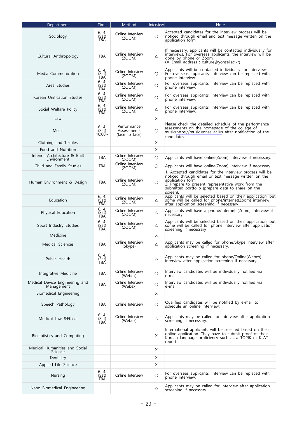| Department                                   | Time                           | Method<br>Interview                          |                     | <b>Note</b>                                                                                                                                                                                      |  |  |
|----------------------------------------------|--------------------------------|----------------------------------------------|---------------------|--------------------------------------------------------------------------------------------------------------------------------------------------------------------------------------------------|--|--|
| Sociology                                    | 6.4.<br>(Sat)<br>TBA           | Online Interview<br>(ZOOM)                   | О                   | Accepted candidates for the interview process will be<br>noticed through email and text message written on the<br>application form.                                                              |  |  |
| Cultural Anthropology                        | <b>TBA</b>                     | Online Interview<br>(ZOOM)                   | Δ                   | If necessary, applicants will be contacted individually for<br>interviews. For overseas applicants, the interview will be<br>done by phone or Zoom.<br>(※ Email address : culture@yonsei.ac.kr)  |  |  |
| Media Communication                          | 6.4.<br>(Šat)<br>TBA           | Online Interview<br>(ZOOM)                   | О                   | Applicants will be contacted individually for interviews.<br>For overseas applicants, interview can be replaced with<br>phone interview.                                                         |  |  |
| Area Studies                                 | 6. 4.<br>(Sat)<br>TBA          | Online Interview<br>(ZOOM)                   | O                   | For overseas applicants, interview can be replaced with<br>phone interview.                                                                                                                      |  |  |
| Korean Unification Studies                   | 6. 4.<br>(Sat)<br>TBA          | Online Interview<br>(ZOOM)                   | O                   | For overseas applicants, interview can be replaced with<br>phone interview.                                                                                                                      |  |  |
| Social Welfare Policy                        | 6. 4.<br>(Sat)<br>TBA          | Online Interview<br>(ZOOM)                   | Δ                   | For overseas applicants, interview can be replaced with<br>phone interview.                                                                                                                      |  |  |
| Law                                          |                                |                                              | X                   |                                                                                                                                                                                                  |  |  |
| Music                                        | 6. 4.<br>(Sat)<br>$10:00 \sim$ | Performance<br>Assessments<br>(face to face) | О                   | Please check the detailed schedule of the performance<br>assessments on the homepage of the college of<br>music(https://music.yonsei.ac.Kr) after notification of the<br>candidates.             |  |  |
| Clothing and Textiles                        |                                |                                              | X                   |                                                                                                                                                                                                  |  |  |
| Food and Nutrition                           |                                |                                              | X                   |                                                                                                                                                                                                  |  |  |
| Interior Architecture & Built<br>Environment | <b>TBA</b>                     | Online Interview<br>(ZOOM)                   | О                   | Applicants will have online(Zoom) interview if necessary.                                                                                                                                        |  |  |
| Child and Family Studies                     | TBA                            | Online Interview                             | O                   | Applicants will have online(Zoom) interview if necessary.                                                                                                                                        |  |  |
|                                              |                                | (ZOOM)                                       |                     | 1. Accepted candidates for the interview process will be                                                                                                                                         |  |  |
| Human Environment & Design                   | <b>TBA</b>                     | Online Interview<br>(ZOOM)                   | О                   | noticed through email or text message written on the<br>application form.<br>2. Prepare to present representative work from the<br>submitted portfolio (prepare data to share on the<br>screen). |  |  |
| Education                                    | $6.4.$<br>$(Sat)$<br>ÌВÁ       | Online Interview<br>(ZOOM)                   | Δ                   | Applicants will be selected based on their application, but<br>some will be called for phone/internet(Zoom) interview<br>after application screening if necessary                                |  |  |
| Physical Education                           | 6. 4.<br>(Sat)<br>TBA          | Online Interview<br>(ZOOM)                   | Δ                   | Applicants will have a phone/internet (Zoom) interview if<br>necessary.                                                                                                                          |  |  |
| Sport Industry Studies                       | 6. 4.<br>(Sat)<br>TBA          | Online Interview<br>(ZOOM)                   | Δ                   | Applicants will be selected based on their application, but<br>some will be called for phone interview after application<br>screening if necessary                                               |  |  |
| Medicine                                     |                                |                                              | X                   |                                                                                                                                                                                                  |  |  |
| Medical Sciences                             | TBA                            | Online Interview<br>(Skype)                  | Δ                   | Applicants may be called for phone/Skype interview after<br>application screening if necessary.                                                                                                  |  |  |
| Public Health                                | 6. 4.<br>(Sat)<br>TBA          |                                              | Δ                   | Applicants may be called for phone/Online(Webex)<br>interview after application screening if necessary.                                                                                          |  |  |
| Integrative Medicine                         | TBA                            | Online Interview<br>(Webex)                  | $\circ$             | Interview candidates will be individually notified via<br>le-mail.                                                                                                                               |  |  |
| Medical Device Engineering and<br>Management | TBA                            | Online Interview<br>(Webex)                  | $\circ$             | Interview candidates will be individually notified via<br>e-mail.                                                                                                                                |  |  |
| <b>Biomedical Engineering</b>                |                                |                                              | Χ                   |                                                                                                                                                                                                  |  |  |
| Speech Pathology                             | <b>TBA</b>                     | Online Interview                             | $\circlearrowright$ | Qualified candidates will be notified by e-mail to<br>schedule an online interview.                                                                                                              |  |  |
| Medical Law & Ethics                         | $6.4$<br>$(Sat)$<br>TBA        | Online Interview<br>(Webex)                  | Δ                   | Applicants may be called for interview after application<br>screening if necessary.                                                                                                              |  |  |
| Biostatistics and Computing                  |                                |                                              | Χ                   | International applicants will be selected based on their<br>online application. They have to submit proof of their<br>Korean language proficiency such as a TOPIK or KLAT<br>report.             |  |  |
| Medical Humanities and Social<br>Science     |                                |                                              | Χ                   |                                                                                                                                                                                                  |  |  |
| Dentistry                                    |                                |                                              | Χ                   |                                                                                                                                                                                                  |  |  |
| Applied Life Science                         |                                |                                              | $\times$            |                                                                                                                                                                                                  |  |  |
| Nursing                                      | 6. 4.<br>(Sat)<br>TBA          | Online Interview                             | $\circlearrowright$ | For overseas applicants, interview can be replaced with<br>phone interview.                                                                                                                      |  |  |
| Nano Biomedical Engineering                  |                                |                                              | Δ                   | Applicants may be called for interview after application<br>screening if necessary.                                                                                                              |  |  |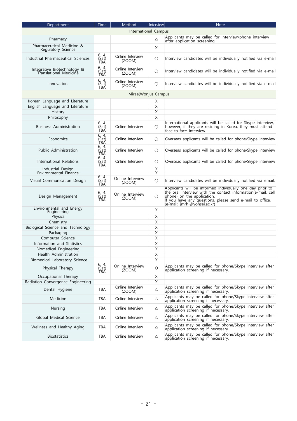| Department                                            | Time                   | Method                     | Interview     | <b>Note</b>                                                                                                                                                                                                                                         |
|-------------------------------------------------------|------------------------|----------------------------|---------------|-----------------------------------------------------------------------------------------------------------------------------------------------------------------------------------------------------------------------------------------------------|
|                                                       |                        | International Campus       |               |                                                                                                                                                                                                                                                     |
| Pharmacy                                              |                        |                            | Δ             | Applicants may be called for interview/phone interview<br>after application screening.                                                                                                                                                              |
| Pharmaceutical Medicine &<br>Regulatory Science       |                        |                            | Χ             |                                                                                                                                                                                                                                                     |
| Industrial Pharmaceutical Sciences                    | 6. 4.<br>(Sat)<br>TBA  | Online Interview<br>(ZOOM) | O             | Interview candidates will be individually notified via e-mail                                                                                                                                                                                       |
| Integrative Biotechnology &<br>Translational Medicine | 6. 4.<br>(Sat)<br>TBA  | Online Interview<br>(ZOOM) | О             | Interview candidates will be individually notified via e-mail                                                                                                                                                                                       |
| Innovation                                            | 6. 4.<br>(Sat)<br>TBA  | Online Interview<br>(ZOOM) | O             | Interview candidates will be individually notified via e-mail                                                                                                                                                                                       |
|                                                       |                        | Mirae(Wonju) Campus        |               |                                                                                                                                                                                                                                                     |
| Korean Language and Literature                        |                        |                            | X             |                                                                                                                                                                                                                                                     |
| English Language and Literature                       |                        |                            | $\times$      |                                                                                                                                                                                                                                                     |
| History                                               |                        |                            | $\times$      |                                                                                                                                                                                                                                                     |
| Philosophy                                            |                        |                            | $\times$      |                                                                                                                                                                                                                                                     |
| <b>Business Administration</b>                        | 6. 4.<br>(Sat)<br>TBA  | Online Interview           | О             | International applicants will be called for Skype interview,<br>however, if they are residing in Korea, they must attend<br>face-to-face interview.                                                                                                 |
| Economics                                             | 6. 4.<br>(Sat)<br>TBA  | Online Interview           | O             | Overseas applicants will be called for phone/Skype interview                                                                                                                                                                                        |
| Public Administration                                 | 6. 4.<br>(Sat)<br>TBA  | Online Interview           | O             | Overseas applicants will be called for phone/Skype interview                                                                                                                                                                                        |
| International Relations                               | 6. 4.<br>(Sat)<br>TBA  | Online Interview           | О             | Overseas applicants will be called for phone/Skype interview                                                                                                                                                                                        |
| Industrial Design                                     |                        |                            | X<br>$\times$ |                                                                                                                                                                                                                                                     |
| Environmental Finance                                 | 6.4.                   |                            |               |                                                                                                                                                                                                                                                     |
| Visual Communication Design                           | (Sat)<br>TBA           | Online Interview<br>(ZOOM) | O             | Interview candidates will be individually notified via email.                                                                                                                                                                                       |
| Design Management                                     | 6.4.<br>$(Sat)$<br>TBA | Online Interview<br>(ZOOM) | О             | Applicants will be informed individually one day prior to<br>the oral interview with the contact information(e-mail, cell<br>phone) on the application.<br>If you have any questions, please send e-mail to office.<br>(e-mail: jmrhi@yonsei.ac.kr) |
| Environmental and Energy<br>Engineering               |                        |                            | X             |                                                                                                                                                                                                                                                     |
| Physics                                               |                        |                            | $\times$      |                                                                                                                                                                                                                                                     |
| Chemistry                                             |                        |                            | $\mathsf X$   |                                                                                                                                                                                                                                                     |
| Biological Science and Technology                     |                        |                            | $\times$      |                                                                                                                                                                                                                                                     |
| Packaging                                             |                        |                            | $\times$      |                                                                                                                                                                                                                                                     |
| Computer Science                                      |                        |                            | $\times$      |                                                                                                                                                                                                                                                     |
| Information and Statistics                            |                        |                            | X             |                                                                                                                                                                                                                                                     |
| Biomedical Engineering                                |                        |                            | X             |                                                                                                                                                                                                                                                     |
| Health Administration                                 |                        |                            | $\mathsf X$   |                                                                                                                                                                                                                                                     |
| Biomedical Laboratory Science                         |                        |                            | $\times$      |                                                                                                                                                                                                                                                     |
| Physical Therapy                                      | 6. 4.<br>(Sat)<br>TBA  | Online Interview<br>(ZOOM) | $\circ$       | Applicants may be called for phone/Skype interview after<br>application screening if necessary.                                                                                                                                                     |
| Occupational Therapy                                  |                        |                            | X             |                                                                                                                                                                                                                                                     |
| Radiation Convergence Engineering                     |                        |                            | X             |                                                                                                                                                                                                                                                     |
| Dental Hygiene                                        | <b>TBA</b>             | Online Interview<br>(ZOOM) | Δ             | Applicants may be called for phone/Skype interview after<br>application screening if necessary.                                                                                                                                                     |
| Medicine                                              | <b>TBA</b>             | Online Interview           | Δ             | Applicants may be called for phone/Skype interview after application screening if necessary.                                                                                                                                                        |
| Nursing                                               | TBA                    | Online Interview           | Δ             | Applicants may be called for phone/Skype interview after<br>application screening if necessary.                                                                                                                                                     |
| Global Medical Science                                | TBA                    | Online Interview           | Δ             | Applicants may be called for phone/Skype interview after<br>application screening if necessary.<br>Applicants may be called for phone/Skype interview after                                                                                         |
| Wellness and Healthy Aging                            | TBA                    | Online Interview           | Δ             | application screening if necessary.<br>Applicants may be called for phone/Skype interview after                                                                                                                                                     |
| <b>Biostatistics</b>                                  | TBA                    | Online Interview           | Δ             | application screening if necessary.                                                                                                                                                                                                                 |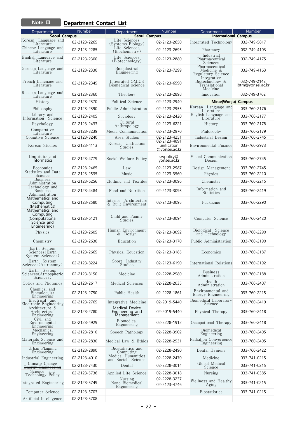**Note Ⅲ Department Contact List**

| Department                                                      | Number       | Department                                      | <b>Number</b>                                | Department                                                  | Number                            |
|-----------------------------------------------------------------|--------------|-------------------------------------------------|----------------------------------------------|-------------------------------------------------------------|-----------------------------------|
| Seoul Campus<br>Korean Language and                             |              | Seoul Campus<br>Life Sciences                   |                                              | <b>International Campus</b>                                 |                                   |
| Literature<br>Chinese Language and                              | 02-2123-2265 | (Systems Biology)<br>Life Sciences              | 02-2123-2650                                 | Integrated Technology                                       | 032-749-5817                      |
| Literature                                                      | 02-2123-2285 | (Biochemistry)                                  | 02-2123-2695                                 | Pharmacy<br>Industrial                                      | 032-749-4103                      |
| English Language and<br>Literature                              | 02-2123-2300 | Life Sciences<br>(Biotechnology)                | 02-2123-2880                                 | Pharmaceutical<br>Sciences                                  | 032-749-4175                      |
| German Language and<br>Literature                               | 02-2123-2330 | Bioindustrial<br>Engineering                    | 02-2123-7299                                 | Pharmaceutical<br>Medicine &<br>Regulatory Science          | 032-749-4163                      |
| French Language and<br>Literature                               | 02-2123-2345 | Integrated OMICS<br>Biomedical science          | 02-2123-6590                                 | Integrative<br>Biotechnology &<br>Translational<br>Medicine | 032-749-2142<br>ibtm@yonsei.ac.kr |
| Russian Language and<br>Literature                              | 02-2123-2360 | Theology                                        | 02-2123-2898                                 | Innovation                                                  | 032-749-3762                      |
| History                                                         | 02-2123-2370 | Political Science                               | 02-2123-2940                                 | Mirae(Wonju) Campus                                         |                                   |
| Philosophy                                                      | 02-2123-2390 | Public Administration                           | 02-2123-2955                                 | Korean Language and<br>Literature                           | 033-760-2176                      |
| Library and<br>Information Science                              | 02-2123-2405 | Sociology                                       | 02-2123-2420                                 | English Language and<br>Literature                          | 033-760-2177                      |
| Psychology                                                      | 02-2123-2433 | Cultural<br>Anthropology                        | 02-2123-6221                                 | History                                                     | 033-760-2178                      |
| Comparative<br>Literature                                       | 02-2123-3239 | Media Communication                             | 02-2123-2970                                 | Philosophy                                                  | 033-760-2179                      |
| Cognitive Science                                               | 02-2123-3240 | Area Studies                                    | 02-2123-4251                                 | Industrial Design                                           | 033-760-2745                      |
| Korean Studies                                                  | 02-2123-4113 | Korean Unification<br>Studies                   | 02-2123-4891<br>unification<br>@yonsei.ac.kr | Environmental Finance                                       | 033-760-2973                      |
| Linguistics and<br><b>Informatics</b>                           | 02-2123-4779 | Social Welfare Policy                           | swpolicy@<br>vonsei.ac.kr                    | Visual Communication<br>Design                              | 033-760-2745                      |
| Economics<br>Statistics and Data                                | 02-2123-2465 | Law                                             | 02-2123-2987                                 | Design Management                                           | 033-760-2745                      |
| Science<br><b>Business</b>                                      | 02-2123-2535 | Music                                           | 02-2123-3560                                 | Physics                                                     | 033-760-2210                      |
| Administration                                                  | 02-2123-6256 | Clothing and Textiles                           | 02-2123-3096                                 | Chemistry                                                   | 033-760-2215                      |
| Technology and<br>Business<br>Administration<br>Mathematics and | 02-2123-4484 | Food and Nutrition                              | 02-2123-3093                                 | Information and<br>Statistics                               | 033-760-2419                      |
| Computing<br>(Mathematics)<br>Mathematics and                   | 02-2123-2580 | Interior Architecture<br>& Built Environment    | 02-2123-3095                                 | Packaging                                                   | 033-760-2290                      |
| Computing<br>(Computational<br>Science and<br>Engineering)      | 02-2123-6121 | Child and Family<br>Studies                     | 02-2123-3094                                 | Computer Science                                            | 033-760-2420                      |
| Physics                                                         | 02-2123-2605 | Human Environment<br>& Design                   | 02-2123-3092                                 | Biological Science<br>and Technology                        | 033-760-2290                      |
| Chemistry                                                       | 02-2123-2630 | Education                                       | 02-2123-3170                                 | Public Administration                                       | 033-760-2190                      |
| Earth System<br>Sciences(Earth<br>System Sciences)              | 02-2123-2665 | Physical Education                              | 02-2123-3185                                 | Economics                                                   | 033-760-2187                      |
| Earth System<br>Sciences(Astronomy)                             | 02-2123-8224 | Sport Industry<br>Studies                       | 02-2123-6190                                 | International Relations                                     | 033-760-2192                      |
| Earth System<br>Sciences(Atmospheric<br>Sciences)               | 02-2123-8150 | Medicine                                        | 02-2228-2580                                 | <b>Business</b><br>Administration                           | 033-760-2188                      |
| Optics and Photonics                                            | 02-2123-2617 | Medical Sciences                                | 02-2228-2035                                 | Health<br>Administration                                    | 033-760-2407                      |
| Chemical and<br>Biomolecular<br>Engineering                     | 02-2123-2750 | Public Health                                   | 02-2228-1861                                 | Environmental and<br>Energy Engineering                     | 033-760-2215                      |
| Electrical and<br>Electronic Engineering                        | 02-2123-2765 | Integrative Medicine                            | 02-2019-5440                                 | Biomedical Laboratory<br>Science                            | 033-760-2419                      |
| Architecture &<br>Architectural<br>Engineering                  | 02-2123-2780 | Medical Device<br>Engineering and<br>Management | 02-2019-5440                                 | Physical Therapy                                            | 033-760-2418                      |
| Civil and<br>Environmental<br>Engineering                       | 02-2123-4929 | Biomedical<br>Engineering                       | 02-2228-1912                                 | Occupational Therapy                                        | 033-760-2418                      |
| Mechanical<br>Engineering                                       | 02-2123-2810 | Speech Pathology                                | 02-2228-3902                                 | Biomedical<br>Engineering                                   | 033-760-2405                      |
| Materials Science and<br>Engineering                            | 02-2123-2830 | Medical Law & Ethics                            | 02-2228-2531                                 | Radiation Convergence<br>Engineering                        | 033-760-2405                      |
| Urban Planning<br>Engineering                                   | 02-2123-2890 | Biostatistics and<br>Computing                  | 02-2228-2490                                 | Dental Hygiene                                              | 033-760-2422                      |
| Industrial Engineering                                          | 02-2123-4010 | Medical Humanities<br>and Social Science        | 02-2228-2470                                 | Medicine                                                    | 033-741-0215                      |
| Climate Change<br>Energy Engineering                            | 02-2123-7430 | Dental                                          | 02-2228-3014                                 | Global Medical<br>Science                                   | 033-741-0215                      |
| Science and<br>Technology Policy                                | 02-2123-5736 | Applied Life Science                            | 02-2228-3018                                 | Nursing                                                     | 033-741-0385                      |
| Integrated Engineering                                          | 02-2123-5749 | Nursing<br>Nano Biomedical                      | 02-2228-3237<br>02-2123-4746                 | Wellness and Healthy<br>Aging                               | 033-741-0215                      |
| Computer Science                                                | 02-2123-5703 | Engineering                                     |                                              | <b>Biostatistics</b>                                        | 033-741-0215                      |
| Artificial Intelligence                                         | 02-2123-5708 |                                                 |                                              |                                                             |                                   |